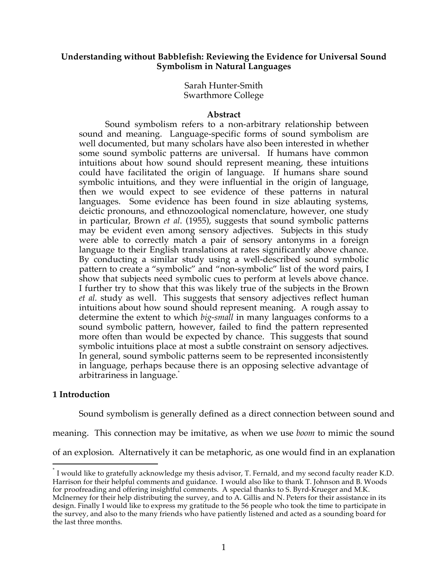# **Understanding without Babblefish: Reviewing the Evidence for Universal Sound Symbolism in Natural Languages**

Sarah Hunter-Smith Swarthmore College

### **Abstract**

Sound symbolism refers to a non-arbitrary relationship between sound and meaning. Language-specific forms of sound symbolism are well documented, but many scholars have also been interested in whether some sound symbolic patterns are universal. If humans have common intuitions about how sound should represent meaning, these intuitions could have facilitated the origin of language. If humans share sound symbolic intuitions, and they were influential in the origin of language, then we would expect to see evidence of these patterns in natural languages. Some evidence has been found in size ablauting systems, deictic pronouns, and ethnozoological nomenclature, however, one study in particular, Brown *et al*. (1955), suggests that sound symbolic patterns may be evident even among sensory adjectives. Subjects in this study were able to correctly match a pair of sensory antonyms in a foreign language to their English translations at rates significantly above chance. By conducting a similar study using a well-described sound symbolic pattern to create a "symbolic" and "non-symbolic" list of the word pairs, I show that subjects need symbolic cues to perform at levels above chance. I further try to show that this was likely true of the subjects in the Brown *et al.* study as well. This suggests that sensory adjectives reflect human intuitions about how sound should represent meaning. A rough assay to determine the extent to which *big-small* in many languages conforms to a sound symbolic pattern, however, failed to find the pattern represented more often than would be expected by chance. This suggests that sound symbolic intuitions place at most a subtle constraint on sensory adjectives. In general, sound symbolic patterns seem to be represented inconsistently in language, perhaps because there is an opposing selective advantage of arbitrariness in language. \*

# **1 Introduction**

Sound symbolism is generally defined as a direct connection between sound and

meaning. This connection may be imitative, as when we use *boom* to mimic the sound of an explosion. Alternatively it can be metaphoric, as one would find in an explanation

I would like to gratefully acknowledge my thesis advisor, T. Fernald, and my second faculty reader K.D. Harrison for their helpful comments and guidance. I would also like to thank T. Johnson and B. Woods for proofreading and offering insightful comments. A special thanks to S. Byrd-Krueger and M.K. McInerney for their help distributing the survey, and to A. Gillis and N. Peters for their assistance in its design. Finally I would like to express my gratitude to the 56 people who took the time to participate in the survey, and also to the many friends who have patiently listened and acted as a sounding board for the last three months.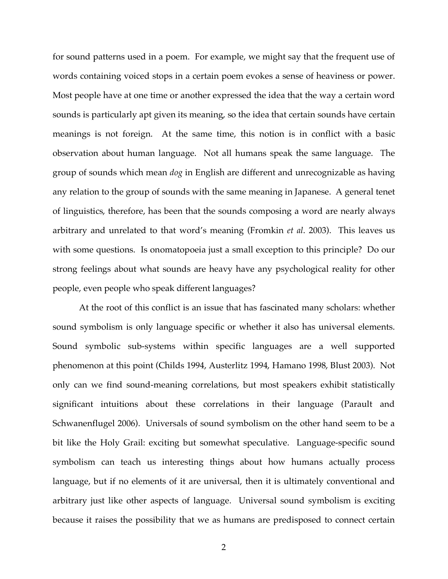for sound patterns used in a poem. For example, we might say that the frequent use of words containing voiced stops in a certain poem evokes a sense of heaviness or power. Most people have at one time or another expressed the idea that the way a certain word sounds is particularly apt given its meaning, so the idea that certain sounds have certain meanings is not foreign. At the same time, this notion is in conflict with a basic observation about human language. Not all humans speak the same language. The group of sounds which mean *dog* in English are different and unrecognizable as having any relation to the group of sounds with the same meaning in Japanese. A general tenet of linguistics, therefore, has been that the sounds composing a word are nearly always arbitrary and unrelated to that word's meaning (Fromkin *et al*. 2003). This leaves us with some questions. Is onomatopoeia just a small exception to this principle? Do our strong feelings about what sounds are heavy have any psychological reality for other people, even people who speak different languages?

At the root of this conflict is an issue that has fascinated many scholars: whether sound symbolism is only language specific or whether it also has universal elements. Sound symbolic sub-systems within specific languages are a well supported phenomenon at this point (Childs 1994, Austerlitz 1994, Hamano 1998, Blust 2003). Not only can we find sound-meaning correlations, but most speakers exhibit statistically significant intuitions about these correlations in their language (Parault and Schwanenflugel 2006). Universals of sound symbolism on the other hand seem to be a bit like the Holy Grail: exciting but somewhat speculative. Language-specific sound symbolism can teach us interesting things about how humans actually process language, but if no elements of it are universal, then it is ultimately conventional and arbitrary just like other aspects of language. Universal sound symbolism is exciting because it raises the possibility that we as humans are predisposed to connect certain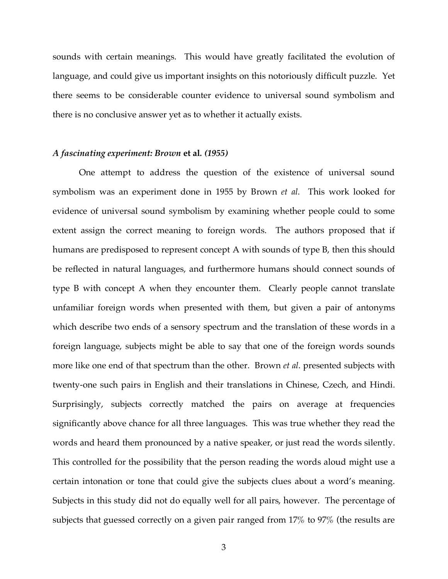sounds with certain meanings. This would have greatly facilitated the evolution of language, and could give us important insights on this notoriously difficult puzzle. Yet there seems to be considerable counter evidence to universal sound symbolism and there is no conclusive answer yet as to whether it actually exists.

#### *A fascinating experiment: Brown* **et al***. (1955)*

One attempt to address the question of the existence of universal sound symbolism was an experiment done in 1955 by Brown *et al*. This work looked for evidence of universal sound symbolism by examining whether people could to some extent assign the correct meaning to foreign words. The authors proposed that if humans are predisposed to represent concept A with sounds of type B, then this should be reflected in natural languages, and furthermore humans should connect sounds of type B with concept A when they encounter them. Clearly people cannot translate unfamiliar foreign words when presented with them, but given a pair of antonyms which describe two ends of a sensory spectrum and the translation of these words in a foreign language, subjects might be able to say that one of the foreign words sounds more like one end of that spectrum than the other. Brown *et al*. presented subjects with twenty-one such pairs in English and their translations in Chinese, Czech, and Hindi. Surprisingly, subjects correctly matched the pairs on average at frequencies significantly above chance for all three languages. This was true whether they read the words and heard them pronounced by a native speaker, or just read the words silently. This controlled for the possibility that the person reading the words aloud might use a certain intonation or tone that could give the subjects clues about a word's meaning. Subjects in this study did not do equally well for all pairs, however. The percentage of subjects that guessed correctly on a given pair ranged from 17% to 97% (the results are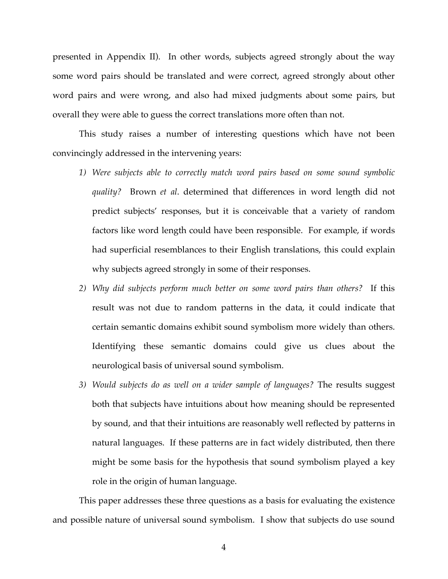presented in Appendix II). In other words, subjects agreed strongly about the way some word pairs should be translated and were correct, agreed strongly about other word pairs and were wrong, and also had mixed judgments about some pairs, but overall they were able to guess the correct translations more often than not.

This study raises a number of interesting questions which have not been convincingly addressed in the intervening years:

- *1) Were subjects able to correctly match word pairs based on some sound symbolic quality?* Brown *et al*. determined that differences in word length did not predict subjects' responses, but it is conceivable that a variety of random factors like word length could have been responsible. For example, if words had superficial resemblances to their English translations, this could explain why subjects agreed strongly in some of their responses.
- *2) Why did subjects perform much better on some word pairs than others?* If this result was not due to random patterns in the data, it could indicate that certain semantic domains exhibit sound symbolism more widely than others. Identifying these semantic domains could give us clues about the neurological basis of universal sound symbolism.
- *3) Would subjects do as well on a wider sample of languages?* The results suggest both that subjects have intuitions about how meaning should be represented by sound, and that their intuitions are reasonably well reflected by patterns in natural languages. If these patterns are in fact widely distributed, then there might be some basis for the hypothesis that sound symbolism played a key role in the origin of human language.

This paper addresses these three questions as a basis for evaluating the existence and possible nature of universal sound symbolism. I show that subjects do use sound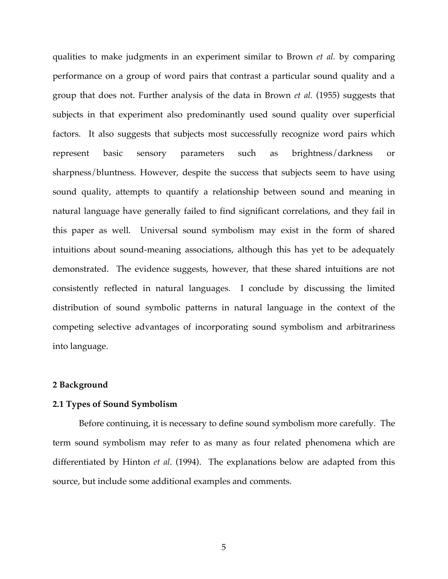qualities to make judgments in an experiment similar to Brown *et al.* by comparing performance on a group of word pairs that contrast a particular sound quality and a group that does not. Further analysis of the data in Brown *et al.* (1955) suggests that subjects in that experiment also predominantly used sound quality over superficial factors. It also suggests that subjects most successfully recognize word pairs which represent basic sensory parameters such as brightness/darkness or sharpness/bluntness. However, despite the success that subjects seem to have using sound quality, attempts to quantify a relationship between sound and meaning in natural language have generally failed to find significant correlations, and they fail in this paper as well. Universal sound symbolism may exist in the form of shared intuitions about sound-meaning associations, although this has yet to be adequately demonstrated. The evidence suggests, however, that these shared intuitions are not consistently reflected in natural languages. I conclude by discussing the limited distribution of sound symbolic patterns in natural language in the context of the competing selective advantages of incorporating sound symbolism and arbitrariness into language.

### **2 Background**

#### **2.1 Types of Sound Symbolism**

Before continuing, it is necessary to define sound symbolism more carefully. The term sound symbolism may refer to as many as four related phenomena which are differentiated by Hinton *et al*. (1994). The explanations below are adapted from this source, but include some additional examples and comments.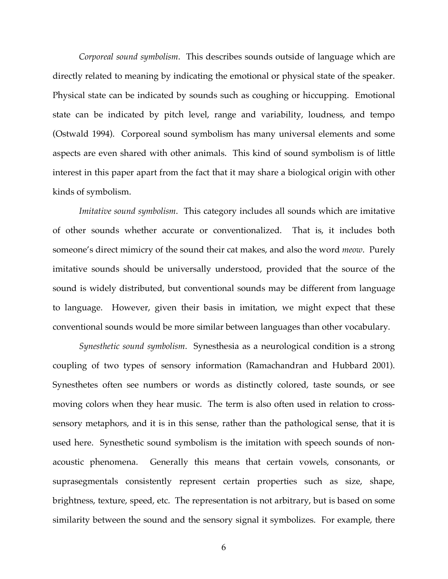*Corporeal sound symbolism*. This describes sounds outside of language which are directly related to meaning by indicating the emotional or physical state of the speaker. Physical state can be indicated by sounds such as coughing or hiccupping. Emotional state can be indicated by pitch level, range and variability, loudness, and tempo (Ostwald 1994). Corporeal sound symbolism has many universal elements and some aspects are even shared with other animals. This kind of sound symbolism is of little interest in this paper apart from the fact that it may share a biological origin with other kinds of symbolism.

*Imitative sound symbolism*. This category includes all sounds which are imitative of other sounds whether accurate or conventionalized. That is, it includes both someone's direct mimicry of the sound their cat makes, and also the word *meow*. Purely imitative sounds should be universally understood, provided that the source of the sound is widely distributed, but conventional sounds may be different from language to language. However, given their basis in imitation, we might expect that these conventional sounds would be more similar between languages than other vocabulary.

*Synesthetic sound symbolism*. Synesthesia as a neurological condition is a strong coupling of two types of sensory information (Ramachandran and Hubbard 2001). Synesthetes often see numbers or words as distinctly colored, taste sounds, or see moving colors when they hear music. The term is also often used in relation to crosssensory metaphors, and it is in this sense, rather than the pathological sense, that it is used here. Synesthetic sound symbolism is the imitation with speech sounds of nonacoustic phenomena. Generally this means that certain vowels, consonants, or suprasegmentals consistently represent certain properties such as size, shape, brightness, texture, speed, etc. The representation is not arbitrary, but is based on some similarity between the sound and the sensory signal it symbolizes. For example, there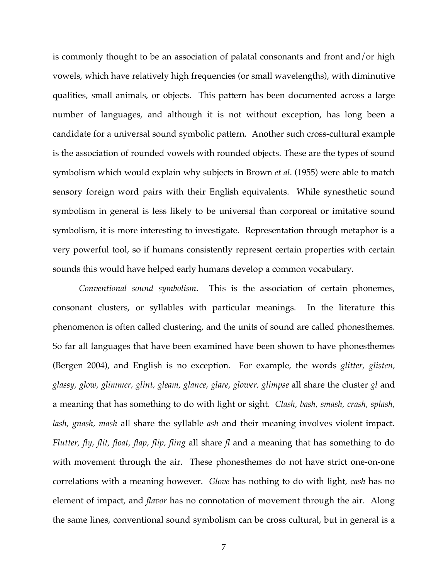is commonly thought to be an association of palatal consonants and front and/or high vowels, which have relatively high frequencies (or small wavelengths), with diminutive qualities, small animals, or objects. This pattern has been documented across a large number of languages, and although it is not without exception, has long been a candidate for a universal sound symbolic pattern. Another such cross-cultural example is the association of rounded vowels with rounded objects. These are the types of sound symbolism which would explain why subjects in Brown *et al*. (1955) were able to match sensory foreign word pairs with their English equivalents. While synesthetic sound symbolism in general is less likely to be universal than corporeal or imitative sound symbolism, it is more interesting to investigate. Representation through metaphor is a very powerful tool, so if humans consistently represent certain properties with certain sounds this would have helped early humans develop a common vocabulary.

*Conventional sound symbolism*. This is the association of certain phonemes, consonant clusters, or syllables with particular meanings. In the literature this phenomenon is often called clustering, and the units of sound are called phonesthemes. So far all languages that have been examined have been shown to have phonesthemes (Bergen 2004), and English is no exception. For example, the words *glitter, glisten, glassy, glow, glimmer, glint, gleam, glance, glare, glower, glimpse* all share the cluster *gl* and a meaning that has something to do with light or sight. *Clash, bash, smash, crash, splash, lash, gnash, mash* all share the syllable *ash* and their meaning involves violent impact. *Flutter, fly, flit, float, flap, flip, fling* all share *fl* and a meaning that has something to do with movement through the air. These phonesthemes do not have strict one-on-one correlations with a meaning however. *Glove* has nothing to do with light, *cash* has no element of impact, and *flavor* has no connotation of movement through the air. Along the same lines, conventional sound symbolism can be cross cultural, but in general is a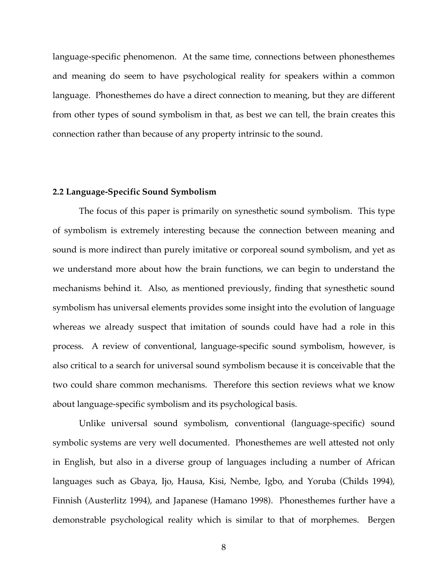language-specific phenomenon. At the same time, connections between phonesthemes and meaning do seem to have psychological reality for speakers within a common language. Phonesthemes do have a direct connection to meaning, but they are different from other types of sound symbolism in that, as best we can tell, the brain creates this connection rather than because of any property intrinsic to the sound.

### **2.2 Language-Specific Sound Symbolism**

The focus of this paper is primarily on synesthetic sound symbolism. This type of symbolism is extremely interesting because the connection between meaning and sound is more indirect than purely imitative or corporeal sound symbolism, and yet as we understand more about how the brain functions, we can begin to understand the mechanisms behind it. Also, as mentioned previously, finding that synesthetic sound symbolism has universal elements provides some insight into the evolution of language whereas we already suspect that imitation of sounds could have had a role in this process. A review of conventional, language-specific sound symbolism, however, is also critical to a search for universal sound symbolism because it is conceivable that the two could share common mechanisms. Therefore this section reviews what we know about language-specific symbolism and its psychological basis.

Unlike universal sound symbolism, conventional (language-specific) sound symbolic systems are very well documented. Phonesthemes are well attested not only in English, but also in a diverse group of languages including a number of African languages such as Gbaya, Ijo, Hausa, Kisi, Nembe, Igbo, and Yoruba (Childs 1994), Finnish (Austerlitz 1994), and Japanese (Hamano 1998). Phonesthemes further have a demonstrable psychological reality which is similar to that of morphemes. Bergen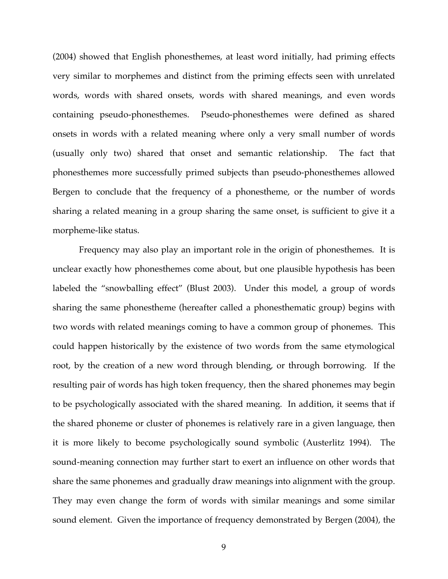(2004) showed that English phonesthemes, at least word initially, had priming effects very similar to morphemes and distinct from the priming effects seen with unrelated words, words with shared onsets, words with shared meanings, and even words containing pseudo-phonesthemes. Pseudo-phonesthemes were defined as shared onsets in words with a related meaning where only a very small number of words (usually only two) shared that onset and semantic relationship. The fact that phonesthemes more successfully primed subjects than pseudo-phonesthemes allowed Bergen to conclude that the frequency of a phonestheme, or the number of words sharing a related meaning in a group sharing the same onset, is sufficient to give it a morpheme-like status.

Frequency may also play an important role in the origin of phonesthemes. It is unclear exactly how phonesthemes come about, but one plausible hypothesis has been labeled the "snowballing effect" (Blust 2003). Under this model, a group of words sharing the same phonestheme (hereafter called a phonesthematic group) begins with two words with related meanings coming to have a common group of phonemes. This could happen historically by the existence of two words from the same etymological root, by the creation of a new word through blending, or through borrowing. If the resulting pair of words has high token frequency, then the shared phonemes may begin to be psychologically associated with the shared meaning. In addition, it seems that if the shared phoneme or cluster of phonemes is relatively rare in a given language, then it is more likely to become psychologically sound symbolic (Austerlitz 1994). The sound-meaning connection may further start to exert an influence on other words that share the same phonemes and gradually draw meanings into alignment with the group. They may even change the form of words with similar meanings and some similar sound element. Given the importance of frequency demonstrated by Bergen (2004), the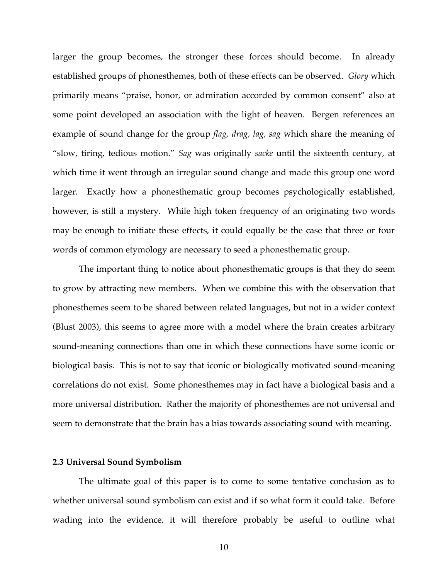larger the group becomes, the stronger these forces should become. In already established groups of phonesthemes, both of these effects can be observed. *Glory* which primarily means "praise, honor, or admiration accorded by common consent" also at some point developed an association with the light of heaven. Bergen references an example of sound change for the group *flag, drag, lag, sag* which share the meaning of "slow, tiring, tedious motion." *Sag* was originally *sacke* until the sixteenth century, at which time it went through an irregular sound change and made this group one word larger. Exactly how a phonesthematic group becomes psychologically established, however, is still a mystery. While high token frequency of an originating two words may be enough to initiate these effects, it could equally be the case that three or four words of common etymology are necessary to seed a phonesthematic group.

The important thing to notice about phonesthematic groups is that they do seem to grow by attracting new members. When we combine this with the observation that phonesthemes seem to be shared between related languages, but not in a wider context (Blust 2003), this seems to agree more with a model where the brain creates arbitrary sound-meaning connections than one in which these connections have some iconic or biological basis. This is not to say that iconic or biologically motivated sound-meaning correlations do not exist. Some phonesthemes may in fact have a biological basis and a more universal distribution. Rather the majority of phonesthemes are not universal and seem to demonstrate that the brain has a bias towards associating sound with meaning.

### **2.3 Universal Sound Symbolism**

The ultimate goal of this paper is to come to some tentative conclusion as to whether universal sound symbolism can exist and if so what form it could take. Before wading into the evidence, it will therefore probably be useful to outline what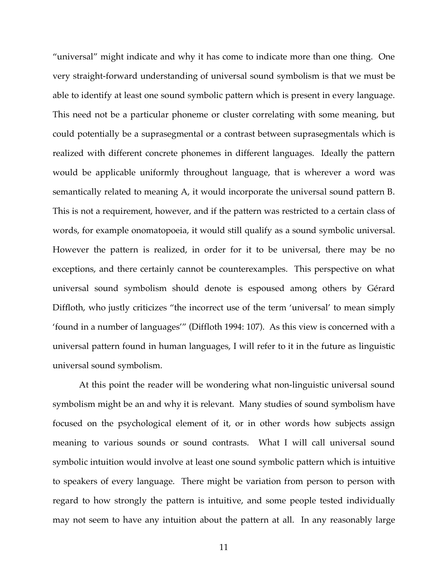"universal" might indicate and why it has come to indicate more than one thing. One very straight-forward understanding of universal sound symbolism is that we must be able to identify at least one sound symbolic pattern which is present in every language. This need not be a particular phoneme or cluster correlating with some meaning, but could potentially be a suprasegmental or a contrast between suprasegmentals which is realized with different concrete phonemes in different languages. Ideally the pattern would be applicable uniformly throughout language, that is wherever a word was semantically related to meaning A, it would incorporate the universal sound pattern B. This is not a requirement, however, and if the pattern was restricted to a certain class of words, for example onomatopoeia, it would still qualify as a sound symbolic universal. However the pattern is realized, in order for it to be universal, there may be no exceptions, and there certainly cannot be counterexamples. This perspective on what universal sound symbolism should denote is espoused among others by Gérard Diffloth, who justly criticizes "the incorrect use of the term 'universal' to mean simply 'found in a number of languages'" (Diffloth 1994: 107). As this view is concerned with a universal pattern found in human languages, I will refer to it in the future as linguistic universal sound symbolism.

At this point the reader will be wondering what non-linguistic universal sound symbolism might be an and why it is relevant. Many studies of sound symbolism have focused on the psychological element of it, or in other words how subjects assign meaning to various sounds or sound contrasts. What I will call universal sound symbolic intuition would involve at least one sound symbolic pattern which is intuitive to speakers of every language. There might be variation from person to person with regard to how strongly the pattern is intuitive, and some people tested individually may not seem to have any intuition about the pattern at all. In any reasonably large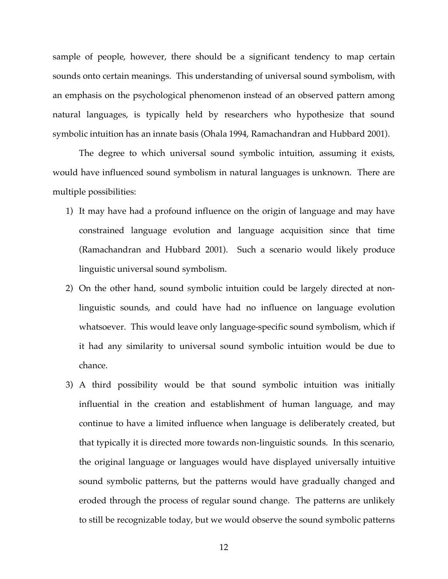sample of people, however, there should be a significant tendency to map certain sounds onto certain meanings. This understanding of universal sound symbolism, with an emphasis on the psychological phenomenon instead of an observed pattern among natural languages, is typically held by researchers who hypothesize that sound symbolic intuition has an innate basis (Ohala 1994, Ramachandran and Hubbard 2001).

The degree to which universal sound symbolic intuition, assuming it exists, would have influenced sound symbolism in natural languages is unknown. There are multiple possibilities:

- 1) It may have had a profound influence on the origin of language and may have constrained language evolution and language acquisition since that time (Ramachandran and Hubbard 2001). Such a scenario would likely produce linguistic universal sound symbolism.
- 2) On the other hand, sound symbolic intuition could be largely directed at nonlinguistic sounds, and could have had no influence on language evolution whatsoever. This would leave only language-specific sound symbolism, which if it had any similarity to universal sound symbolic intuition would be due to chance.
- 3) A third possibility would be that sound symbolic intuition was initially influential in the creation and establishment of human language, and may continue to have a limited influence when language is deliberately created, but that typically it is directed more towards non-linguistic sounds. In this scenario, the original language or languages would have displayed universally intuitive sound symbolic patterns, but the patterns would have gradually changed and eroded through the process of regular sound change. The patterns are unlikely to still be recognizable today, but we would observe the sound symbolic patterns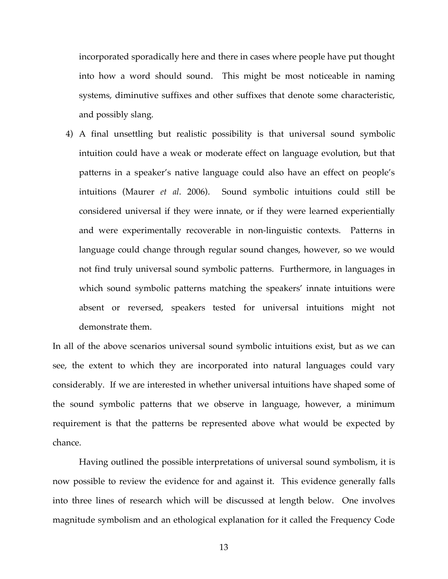incorporated sporadically here and there in cases where people have put thought into how a word should sound. This might be most noticeable in naming systems, diminutive suffixes and other suffixes that denote some characteristic, and possibly slang.

4) A final unsettling but realistic possibility is that universal sound symbolic intuition could have a weak or moderate effect on language evolution, but that patterns in a speaker's native language could also have an effect on people's intuitions (Maurer *et al*. 2006). Sound symbolic intuitions could still be considered universal if they were innate, or if they were learned experientially and were experimentally recoverable in non-linguistic contexts. Patterns in language could change through regular sound changes, however, so we would not find truly universal sound symbolic patterns. Furthermore, in languages in which sound symbolic patterns matching the speakers' innate intuitions were absent or reversed, speakers tested for universal intuitions might not demonstrate them.

In all of the above scenarios universal sound symbolic intuitions exist, but as we can see, the extent to which they are incorporated into natural languages could vary considerably. If we are interested in whether universal intuitions have shaped some of the sound symbolic patterns that we observe in language, however, a minimum requirement is that the patterns be represented above what would be expected by chance.

Having outlined the possible interpretations of universal sound symbolism, it is now possible to review the evidence for and against it. This evidence generally falls into three lines of research which will be discussed at length below. One involves magnitude symbolism and an ethological explanation for it called the Frequency Code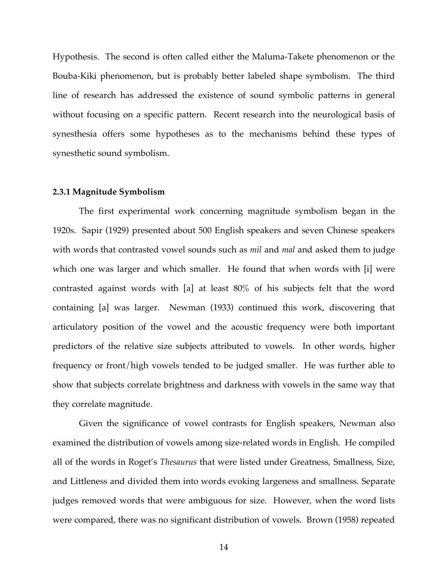Hypothesis. The second is often called either the Maluma-Takete phenomenon or the Bouba-Kiki phenomenon, but is probably better labeled shape symbolism. The third line of research has addressed the existence of sound symbolic patterns in general without focusing on a specific pattern. Recent research into the neurological basis of synesthesia offers some hypotheses as to the mechanisms behind these types of synesthetic sound symbolism.

#### **2.3.1 Magnitude Symbolism**

The first experimental work concerning magnitude symbolism began in the 1920s. Sapir (1929) presented about 500 English speakers and seven Chinese speakers with words that contrasted vowel sounds such as *mil* and *mal* and asked them to judge which one was larger and which smaller. He found that when words with [i] were contrasted against words with [a] at least 80% of his subjects felt that the word containing [a] was larger. Newman (1933) continued this work, discovering that articulatory position of the vowel and the acoustic frequency were both important predictors of the relative size subjects attributed to vowels. In other words, higher frequency or front/high vowels tended to be judged smaller. He was further able to show that subjects correlate brightness and darkness with vowels in the same way that they correlate magnitude.

Given the significance of vowel contrasts for English speakers, Newman also examined the distribution of vowels among size-related words in English. He compiled all of the words in Roget's *Thesaurus* that were listed under Greatness, Smallness, Size, and Littleness and divided them into words evoking largeness and smallness. Separate judges removed words that were ambiguous for size. However, when the word lists were compared, there was no significant distribution of vowels. Brown (1958) repeated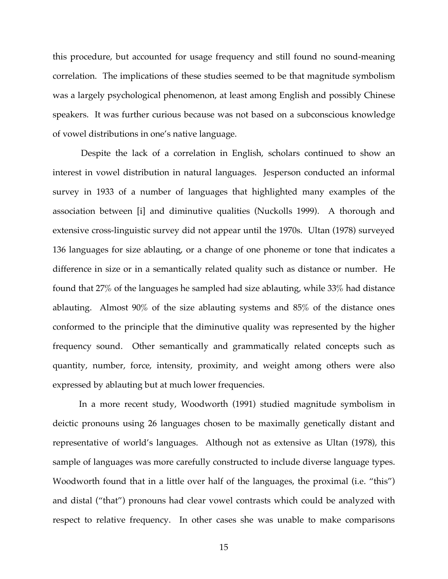this procedure, but accounted for usage frequency and still found no sound-meaning correlation. The implications of these studies seemed to be that magnitude symbolism was a largely psychological phenomenon, at least among English and possibly Chinese speakers. It was further curious because was not based on a subconscious knowledge of vowel distributions in one's native language.

Despite the lack of a correlation in English, scholars continued to show an interest in vowel distribution in natural languages. Jesperson conducted an informal survey in 1933 of a number of languages that highlighted many examples of the association between [i] and diminutive qualities (Nuckolls 1999). A thorough and extensive cross-linguistic survey did not appear until the 1970s. Ultan (1978) surveyed 136 languages for size ablauting, or a change of one phoneme or tone that indicates a difference in size or in a semantically related quality such as distance or number. He found that 27% of the languages he sampled had size ablauting, while 33% had distance ablauting. Almost 90% of the size ablauting systems and 85% of the distance ones conformed to the principle that the diminutive quality was represented by the higher frequency sound. Other semantically and grammatically related concepts such as quantity, number, force, intensity, proximity, and weight among others were also expressed by ablauting but at much lower frequencies.

In a more recent study, Woodworth (1991) studied magnitude symbolism in deictic pronouns using 26 languages chosen to be maximally genetically distant and representative of world's languages. Although not as extensive as Ultan (1978), this sample of languages was more carefully constructed to include diverse language types. Woodworth found that in a little over half of the languages, the proximal (i.e. "this") and distal ("that") pronouns had clear vowel contrasts which could be analyzed with respect to relative frequency. In other cases she was unable to make comparisons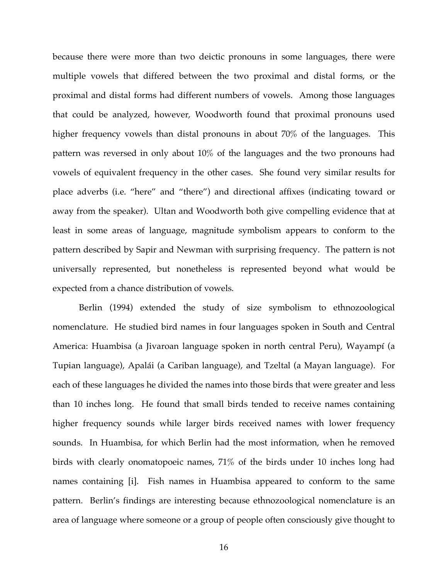because there were more than two deictic pronouns in some languages, there were multiple vowels that differed between the two proximal and distal forms, or the proximal and distal forms had different numbers of vowels. Among those languages that could be analyzed, however, Woodworth found that proximal pronouns used higher frequency vowels than distal pronouns in about 70% of the languages. This pattern was reversed in only about 10% of the languages and the two pronouns had vowels of equivalent frequency in the other cases. She found very similar results for place adverbs (i.e. "here" and "there") and directional affixes (indicating toward or away from the speaker). Ultan and Woodworth both give compelling evidence that at least in some areas of language, magnitude symbolism appears to conform to the pattern described by Sapir and Newman with surprising frequency. The pattern is not universally represented, but nonetheless is represented beyond what would be expected from a chance distribution of vowels.

Berlin (1994) extended the study of size symbolism to ethnozoological nomenclature. He studied bird names in four languages spoken in South and Central America: Huambisa (a Jivaroan language spoken in north central Peru), Wayampí (a Tupian language), Apalái (a Cariban language), and Tzeltal (a Mayan language). For each of these languages he divided the names into those birds that were greater and less than 10 inches long. He found that small birds tended to receive names containing higher frequency sounds while larger birds received names with lower frequency sounds. In Huambisa, for which Berlin had the most information, when he removed birds with clearly onomatopoeic names, 71% of the birds under 10 inches long had names containing [i]. Fish names in Huambisa appeared to conform to the same pattern. Berlin's findings are interesting because ethnozoological nomenclature is an area of language where someone or a group of people often consciously give thought to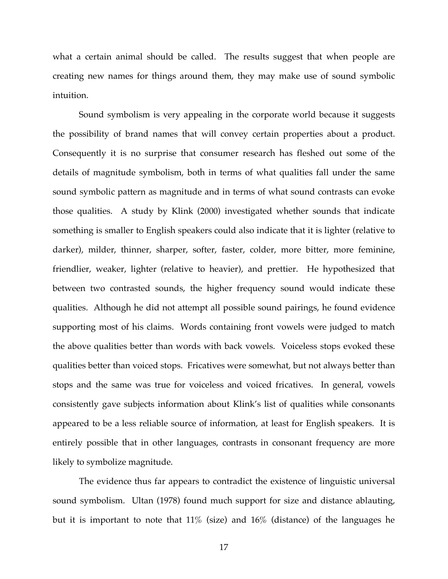what a certain animal should be called. The results suggest that when people are creating new names for things around them, they may make use of sound symbolic intuition.

Sound symbolism is very appealing in the corporate world because it suggests the possibility of brand names that will convey certain properties about a product. Consequently it is no surprise that consumer research has fleshed out some of the details of magnitude symbolism, both in terms of what qualities fall under the same sound symbolic pattern as magnitude and in terms of what sound contrasts can evoke those qualities. A study by Klink (2000) investigated whether sounds that indicate something is smaller to English speakers could also indicate that it is lighter (relative to darker), milder, thinner, sharper, softer, faster, colder, more bitter, more feminine, friendlier, weaker, lighter (relative to heavier), and prettier. He hypothesized that between two contrasted sounds, the higher frequency sound would indicate these qualities. Although he did not attempt all possible sound pairings, he found evidence supporting most of his claims. Words containing front vowels were judged to match the above qualities better than words with back vowels. Voiceless stops evoked these qualities better than voiced stops. Fricatives were somewhat, but not always better than stops and the same was true for voiceless and voiced fricatives. In general, vowels consistently gave subjects information about Klink's list of qualities while consonants appeared to be a less reliable source of information, at least for English speakers. It is entirely possible that in other languages, contrasts in consonant frequency are more likely to symbolize magnitude.

The evidence thus far appears to contradict the existence of linguistic universal sound symbolism. Ultan (1978) found much support for size and distance ablauting, but it is important to note that 11% (size) and 16% (distance) of the languages he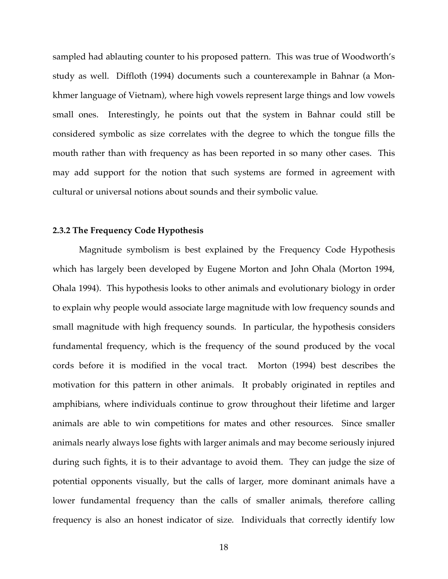sampled had ablauting counter to his proposed pattern. This was true of Woodworth's study as well. Diffloth (1994) documents such a counterexample in Bahnar (a Monkhmer language of Vietnam), where high vowels represent large things and low vowels small ones. Interestingly, he points out that the system in Bahnar could still be considered symbolic as size correlates with the degree to which the tongue fills the mouth rather than with frequency as has been reported in so many other cases. This may add support for the notion that such systems are formed in agreement with cultural or universal notions about sounds and their symbolic value.

### **2.3.2 The Frequency Code Hypothesis**

Magnitude symbolism is best explained by the Frequency Code Hypothesis which has largely been developed by Eugene Morton and John Ohala (Morton 1994, Ohala 1994). This hypothesis looks to other animals and evolutionary biology in order to explain why people would associate large magnitude with low frequency sounds and small magnitude with high frequency sounds. In particular, the hypothesis considers fundamental frequency, which is the frequency of the sound produced by the vocal cords before it is modified in the vocal tract. Morton (1994) best describes the motivation for this pattern in other animals. It probably originated in reptiles and amphibians, where individuals continue to grow throughout their lifetime and larger animals are able to win competitions for mates and other resources. Since smaller animals nearly always lose fights with larger animals and may become seriously injured during such fights, it is to their advantage to avoid them. They can judge the size of potential opponents visually, but the calls of larger, more dominant animals have a lower fundamental frequency than the calls of smaller animals, therefore calling frequency is also an honest indicator of size. Individuals that correctly identify low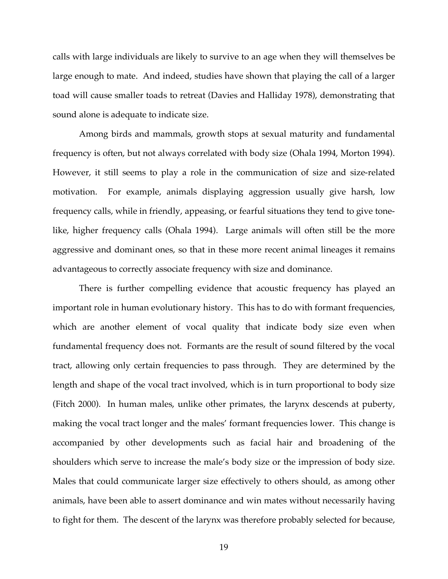calls with large individuals are likely to survive to an age when they will themselves be large enough to mate. And indeed, studies have shown that playing the call of a larger toad will cause smaller toads to retreat (Davies and Halliday 1978), demonstrating that sound alone is adequate to indicate size.

Among birds and mammals, growth stops at sexual maturity and fundamental frequency is often, but not always correlated with body size (Ohala 1994, Morton 1994). However, it still seems to play a role in the communication of size and size-related motivation. For example, animals displaying aggression usually give harsh, low frequency calls, while in friendly, appeasing, or fearful situations they tend to give tonelike, higher frequency calls (Ohala 1994). Large animals will often still be the more aggressive and dominant ones, so that in these more recent animal lineages it remains advantageous to correctly associate frequency with size and dominance.

There is further compelling evidence that acoustic frequency has played an important role in human evolutionary history. This has to do with formant frequencies, which are another element of vocal quality that indicate body size even when fundamental frequency does not. Formants are the result of sound filtered by the vocal tract, allowing only certain frequencies to pass through. They are determined by the length and shape of the vocal tract involved, which is in turn proportional to body size (Fitch 2000). In human males, unlike other primates, the larynx descends at puberty, making the vocal tract longer and the males' formant frequencies lower. This change is accompanied by other developments such as facial hair and broadening of the shoulders which serve to increase the male's body size or the impression of body size. Males that could communicate larger size effectively to others should, as among other animals, have been able to assert dominance and win mates without necessarily having to fight for them. The descent of the larynx was therefore probably selected for because,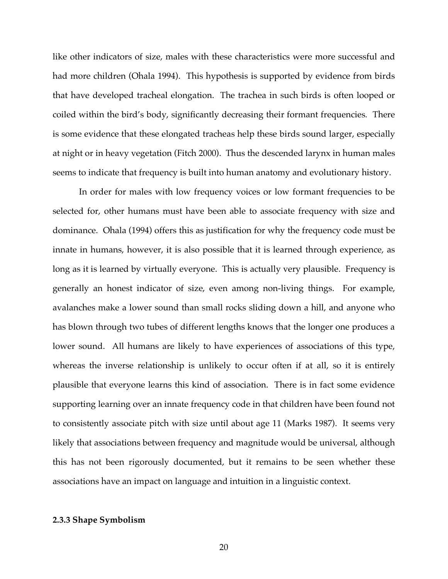like other indicators of size, males with these characteristics were more successful and had more children (Ohala 1994). This hypothesis is supported by evidence from birds that have developed tracheal elongation. The trachea in such birds is often looped or coiled within the bird's body, significantly decreasing their formant frequencies. There is some evidence that these elongated tracheas help these birds sound larger, especially at night or in heavy vegetation (Fitch 2000). Thus the descended larynx in human males seems to indicate that frequency is built into human anatomy and evolutionary history.

In order for males with low frequency voices or low formant frequencies to be selected for, other humans must have been able to associate frequency with size and dominance. Ohala (1994) offers this as justification for why the frequency code must be innate in humans, however, it is also possible that it is learned through experience, as long as it is learned by virtually everyone. This is actually very plausible. Frequency is generally an honest indicator of size, even among non-living things. For example, avalanches make a lower sound than small rocks sliding down a hill, and anyone who has blown through two tubes of different lengths knows that the longer one produces a lower sound. All humans are likely to have experiences of associations of this type, whereas the inverse relationship is unlikely to occur often if at all, so it is entirely plausible that everyone learns this kind of association. There is in fact some evidence supporting learning over an innate frequency code in that children have been found not to consistently associate pitch with size until about age 11 (Marks 1987). It seems very likely that associations between frequency and magnitude would be universal, although this has not been rigorously documented, but it remains to be seen whether these associations have an impact on language and intuition in a linguistic context.

### **2.3.3 Shape Symbolism**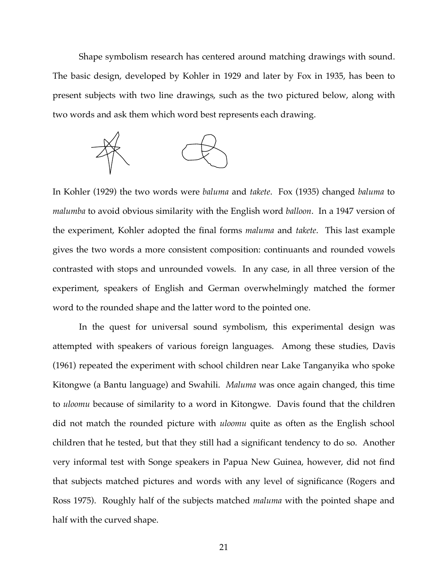Shape symbolism research has centered around matching drawings with sound. The basic design, developed by Kohler in 1929 and later by Fox in 1935, has been to present subjects with two line drawings, such as the two pictured below, along with two words and ask them which word best represents each drawing.



In Kohler (1929) the two words were *baluma* and *takete*. Fox (1935) changed *baluma* to *malumba* to avoid obvious similarity with the English word *balloon*. In a 1947 version of the experiment, Kohler adopted the final forms *maluma* and *takete*. This last example gives the two words a more consistent composition: continuants and rounded vowels contrasted with stops and unrounded vowels. In any case, in all three version of the experiment, speakers of English and German overwhelmingly matched the former word to the rounded shape and the latter word to the pointed one.

In the quest for universal sound symbolism, this experimental design was attempted with speakers of various foreign languages. Among these studies, Davis (1961) repeated the experiment with school children near Lake Tanganyika who spoke Kitongwe (a Bantu language) and Swahili. *Maluma* was once again changed, this time to *uloomu* because of similarity to a word in Kitongwe. Davis found that the children did not match the rounded picture with *uloomu* quite as often as the English school children that he tested, but that they still had a significant tendency to do so. Another very informal test with Songe speakers in Papua New Guinea, however, did not find that subjects matched pictures and words with any level of significance (Rogers and Ross 1975). Roughly half of the subjects matched *maluma* with the pointed shape and half with the curved shape.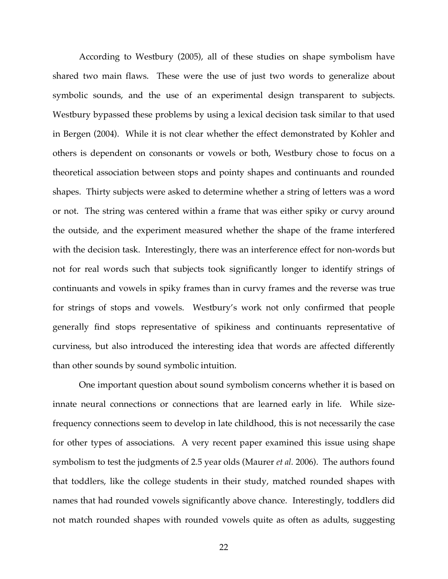According to Westbury (2005), all of these studies on shape symbolism have shared two main flaws. These were the use of just two words to generalize about symbolic sounds, and the use of an experimental design transparent to subjects. Westbury bypassed these problems by using a lexical decision task similar to that used in Bergen (2004). While it is not clear whether the effect demonstrated by Kohler and others is dependent on consonants or vowels or both, Westbury chose to focus on a theoretical association between stops and pointy shapes and continuants and rounded shapes. Thirty subjects were asked to determine whether a string of letters was a word or not. The string was centered within a frame that was either spiky or curvy around the outside, and the experiment measured whether the shape of the frame interfered with the decision task. Interestingly, there was an interference effect for non-words but not for real words such that subjects took significantly longer to identify strings of continuants and vowels in spiky frames than in curvy frames and the reverse was true for strings of stops and vowels. Westbury's work not only confirmed that people generally find stops representative of spikiness and continuants representative of curviness, but also introduced the interesting idea that words are affected differently than other sounds by sound symbolic intuition.

One important question about sound symbolism concerns whether it is based on innate neural connections or connections that are learned early in life. While sizefrequency connections seem to develop in late childhood, this is not necessarily the case for other types of associations. A very recent paper examined this issue using shape symbolism to test the judgments of 2.5 year olds (Maurer *et al.* 2006). The authors found that toddlers, like the college students in their study, matched rounded shapes with names that had rounded vowels significantly above chance. Interestingly, toddlers did not match rounded shapes with rounded vowels quite as often as adults, suggesting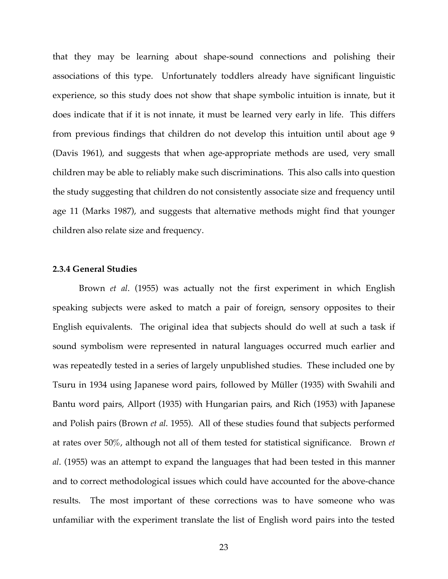that they may be learning about shape-sound connections and polishing their associations of this type. Unfortunately toddlers already have significant linguistic experience, so this study does not show that shape symbolic intuition is innate, but it does indicate that if it is not innate, it must be learned very early in life. This differs from previous findings that children do not develop this intuition until about age 9 (Davis 1961), and suggests that when age-appropriate methods are used, very small children may be able to reliably make such discriminations. This also calls into question the study suggesting that children do not consistently associate size and frequency until age 11 (Marks 1987), and suggests that alternative methods might find that younger children also relate size and frequency.

### **2.3.4 General Studies**

Brown *et al*. (1955) was actually not the first experiment in which English speaking subjects were asked to match a pair of foreign, sensory opposites to their English equivalents. The original idea that subjects should do well at such a task if sound symbolism were represented in natural languages occurred much earlier and was repeatedly tested in a series of largely unpublished studies. These included one by Tsuru in 1934 using Japanese word pairs, followed by Müller (1935) with Swahili and Bantu word pairs, Allport (1935) with Hungarian pairs, and Rich (1953) with Japanese and Polish pairs (Brown *et al*. 1955). All of these studies found that subjects performed at rates over 50%, although not all of them tested for statistical significance. Brown *et al*. (1955) was an attempt to expand the languages that had been tested in this manner and to correct methodological issues which could have accounted for the above-chance results. The most important of these corrections was to have someone who was unfamiliar with the experiment translate the list of English word pairs into the tested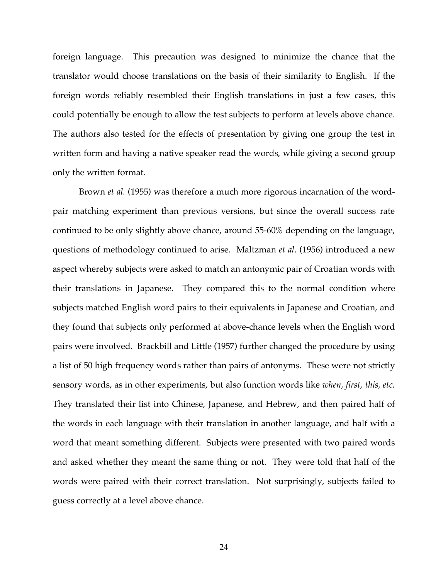foreign language. This precaution was designed to minimize the chance that the translator would choose translations on the basis of their similarity to English. If the foreign words reliably resembled their English translations in just a few cases, this could potentially be enough to allow the test subjects to perform at levels above chance. The authors also tested for the effects of presentation by giving one group the test in written form and having a native speaker read the words, while giving a second group only the written format.

Brown *et al*. (1955) was therefore a much more rigorous incarnation of the wordpair matching experiment than previous versions, but since the overall success rate continued to be only slightly above chance, around 55-60% depending on the language, questions of methodology continued to arise. Maltzman *et al*. (1956) introduced a new aspect whereby subjects were asked to match an antonymic pair of Croatian words with their translations in Japanese. They compared this to the normal condition where subjects matched English word pairs to their equivalents in Japanese and Croatian, and they found that subjects only performed at above-chance levels when the English word pairs were involved. Brackbill and Little (1957) further changed the procedure by using a list of 50 high frequency words rather than pairs of antonyms. These were not strictly sensory words, as in other experiments, but also function words like *when, first, this, etc.* They translated their list into Chinese, Japanese, and Hebrew, and then paired half of the words in each language with their translation in another language, and half with a word that meant something different. Subjects were presented with two paired words and asked whether they meant the same thing or not. They were told that half of the words were paired with their correct translation. Not surprisingly, subjects failed to guess correctly at a level above chance.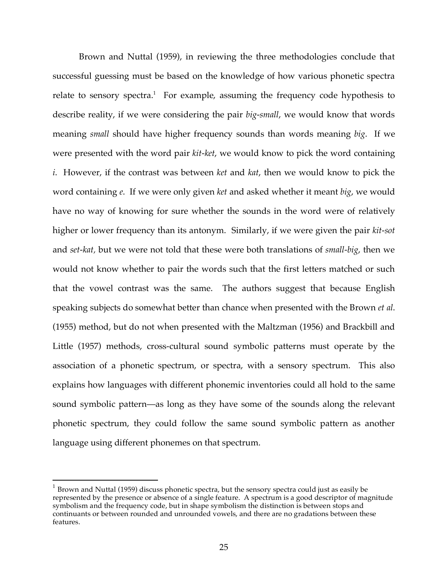Brown and Nuttal (1959), in reviewing the three methodologies conclude that successful guessing must be based on the knowledge of how various phonetic spectra relate to sensory spectra.<sup>1</sup> For example, assuming the frequency code hypothesis to describe reality, if we were considering the pair *big-small*, we would know that words meaning *small* should have higher frequency sounds than words meaning *big*. If we were presented with the word pair *kit-ket*, we would know to pick the word containing *i*. However, if the contrast was between *ket* and *kat*, then we would know to pick the word containing *e*. If we were only given *ket* and asked whether it meant *big*, we would have no way of knowing for sure whether the sounds in the word were of relatively higher or lower frequency than its antonym. Similarly, if we were given the pair *kit-sot* and *set-kat,* but we were not told that these were both translations of *small-big*, then we would not know whether to pair the words such that the first letters matched or such that the vowel contrast was the same. The authors suggest that because English speaking subjects do somewhat better than chance when presented with the Brown *et al*. (1955) method, but do not when presented with the Maltzman (1956) and Brackbill and Little (1957) methods, cross-cultural sound symbolic patterns must operate by the association of a phonetic spectrum, or spectra, with a sensory spectrum. This also explains how languages with different phonemic inventories could all hold to the same sound symbolic pattern—as long as they have some of the sounds along the relevant phonetic spectrum, they could follow the same sound symbolic pattern as another language using different phonemes on that spectrum.

 $1$  Brown and Nuttal (1959) discuss phonetic spectra, but the sensory spectra could just as easily be represented by the presence or absence of a single feature. A spectrum is a good descriptor of magnitude symbolism and the frequency code, but in shape symbolism the distinction is between stops and continuants or between rounded and unrounded vowels, and there are no gradations between these features.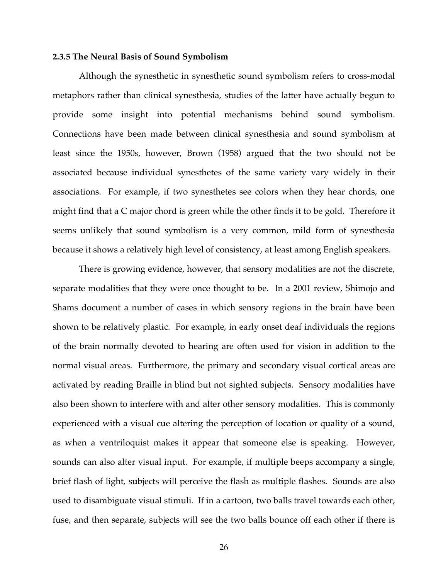#### **2.3.5 The Neural Basis of Sound Symbolism**

Although the synesthetic in synesthetic sound symbolism refers to cross-modal metaphors rather than clinical synesthesia, studies of the latter have actually begun to provide some insight into potential mechanisms behind sound symbolism. Connections have been made between clinical synesthesia and sound symbolism at least since the 1950s, however, Brown (1958) argued that the two should not be associated because individual synesthetes of the same variety vary widely in their associations. For example, if two synesthetes see colors when they hear chords, one might find that a C major chord is green while the other finds it to be gold. Therefore it seems unlikely that sound symbolism is a very common, mild form of synesthesia because it shows a relatively high level of consistency, at least among English speakers.

There is growing evidence, however, that sensory modalities are not the discrete, separate modalities that they were once thought to be. In a 2001 review, Shimojo and Shams document a number of cases in which sensory regions in the brain have been shown to be relatively plastic. For example, in early onset deaf individuals the regions of the brain normally devoted to hearing are often used for vision in addition to the normal visual areas. Furthermore, the primary and secondary visual cortical areas are activated by reading Braille in blind but not sighted subjects. Sensory modalities have also been shown to interfere with and alter other sensory modalities. This is commonly experienced with a visual cue altering the perception of location or quality of a sound, as when a ventriloquist makes it appear that someone else is speaking. However, sounds can also alter visual input. For example, if multiple beeps accompany a single, brief flash of light, subjects will perceive the flash as multiple flashes. Sounds are also used to disambiguate visual stimuli. If in a cartoon, two balls travel towards each other, fuse, and then separate, subjects will see the two balls bounce off each other if there is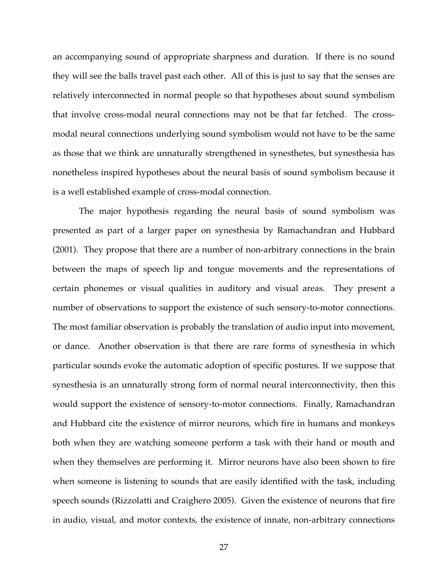an accompanying sound of appropriate sharpness and duration. If there is no sound they will see the balls travel past each other. All of this is just to say that the senses are relatively interconnected in normal people so that hypotheses about sound symbolism that involve cross-modal neural connections may not be that far fetched. The crossmodal neural connections underlying sound symbolism would not have to be the same as those that we think are unnaturally strengthened in synesthetes, but synesthesia has nonetheless inspired hypotheses about the neural basis of sound symbolism because it is a well established example of cross-modal connection.

The major hypothesis regarding the neural basis of sound symbolism was presented as part of a larger paper on synesthesia by Ramachandran and Hubbard (2001). They propose that there are a number of non-arbitrary connections in the brain between the maps of speech lip and tongue movements and the representations of certain phonemes or visual qualities in auditory and visual areas. They present a number of observations to support the existence of such sensory-to-motor connections. The most familiar observation is probably the translation of audio input into movement, or dance. Another observation is that there are rare forms of synesthesia in which particular sounds evoke the automatic adoption of specific postures. If we suppose that synesthesia is an unnaturally strong form of normal neural interconnectivity, then this would support the existence of sensory-to-motor connections. Finally, Ramachandran and Hubbard cite the existence of mirror neurons, which fire in humans and monkeys both when they are watching someone perform a task with their hand or mouth and when they themselves are performing it. Mirror neurons have also been shown to fire when someone is listening to sounds that are easily identified with the task, including speech sounds (Rizzolatti and Craighero 2005). Given the existence of neurons that fire in audio, visual, and motor contexts, the existence of innate, non-arbitrary connections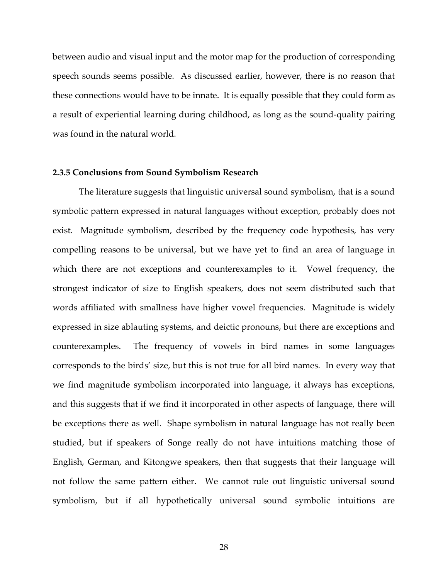between audio and visual input and the motor map for the production of corresponding speech sounds seems possible. As discussed earlier, however, there is no reason that these connections would have to be innate. It is equally possible that they could form as a result of experiential learning during childhood, as long as the sound-quality pairing was found in the natural world.

### **2.3.5 Conclusions from Sound Symbolism Research**

The literature suggests that linguistic universal sound symbolism, that is a sound symbolic pattern expressed in natural languages without exception, probably does not exist. Magnitude symbolism, described by the frequency code hypothesis, has very compelling reasons to be universal, but we have yet to find an area of language in which there are not exceptions and counterexamples to it. Vowel frequency, the strongest indicator of size to English speakers, does not seem distributed such that words affiliated with smallness have higher vowel frequencies. Magnitude is widely expressed in size ablauting systems, and deictic pronouns, but there are exceptions and counterexamples. The frequency of vowels in bird names in some languages corresponds to the birds' size, but this is not true for all bird names. In every way that we find magnitude symbolism incorporated into language, it always has exceptions, and this suggests that if we find it incorporated in other aspects of language, there will be exceptions there as well. Shape symbolism in natural language has not really been studied, but if speakers of Songe really do not have intuitions matching those of English, German, and Kitongwe speakers, then that suggests that their language will not follow the same pattern either. We cannot rule out linguistic universal sound symbolism, but if all hypothetically universal sound symbolic intuitions are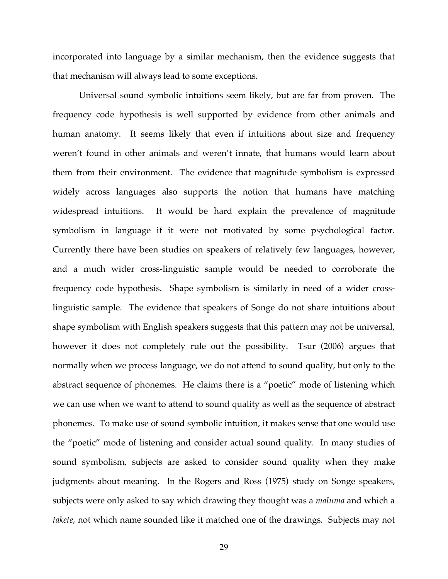incorporated into language by a similar mechanism, then the evidence suggests that that mechanism will always lead to some exceptions.

Universal sound symbolic intuitions seem likely, but are far from proven. The frequency code hypothesis is well supported by evidence from other animals and human anatomy. It seems likely that even if intuitions about size and frequency weren't found in other animals and weren't innate, that humans would learn about them from their environment. The evidence that magnitude symbolism is expressed widely across languages also supports the notion that humans have matching widespread intuitions. It would be hard explain the prevalence of magnitude symbolism in language if it were not motivated by some psychological factor. Currently there have been studies on speakers of relatively few languages, however, and a much wider cross-linguistic sample would be needed to corroborate the frequency code hypothesis. Shape symbolism is similarly in need of a wider crosslinguistic sample. The evidence that speakers of Songe do not share intuitions about shape symbolism with English speakers suggests that this pattern may not be universal, however it does not completely rule out the possibility. Tsur (2006) argues that normally when we process language, we do not attend to sound quality, but only to the abstract sequence of phonemes. He claims there is a "poetic" mode of listening which we can use when we want to attend to sound quality as well as the sequence of abstract phonemes. To make use of sound symbolic intuition, it makes sense that one would use the "poetic" mode of listening and consider actual sound quality. In many studies of sound symbolism, subjects are asked to consider sound quality when they make judgments about meaning. In the Rogers and Ross (1975) study on Songe speakers, subjects were only asked to say which drawing they thought was a *maluma* and which a *takete*, not which name sounded like it matched one of the drawings. Subjects may not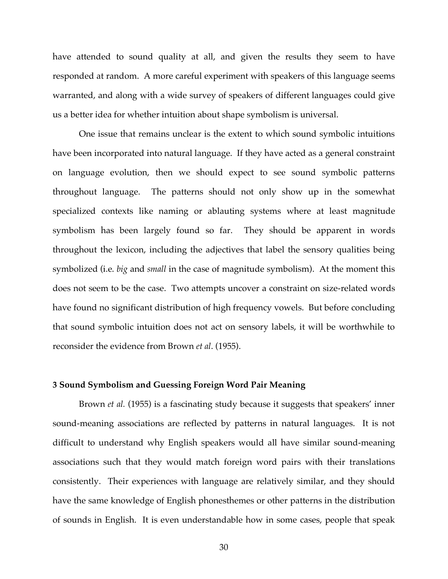have attended to sound quality at all, and given the results they seem to have responded at random. A more careful experiment with speakers of this language seems warranted, and along with a wide survey of speakers of different languages could give us a better idea for whether intuition about shape symbolism is universal.

One issue that remains unclear is the extent to which sound symbolic intuitions have been incorporated into natural language. If they have acted as a general constraint on language evolution, then we should expect to see sound symbolic patterns throughout language. The patterns should not only show up in the somewhat specialized contexts like naming or ablauting systems where at least magnitude symbolism has been largely found so far. They should be apparent in words throughout the lexicon, including the adjectives that label the sensory qualities being symbolized (i.e. *big* and *small* in the case of magnitude symbolism). At the moment this does not seem to be the case. Two attempts uncover a constraint on size-related words have found no significant distribution of high frequency vowels. But before concluding that sound symbolic intuition does not act on sensory labels, it will be worthwhile to reconsider the evidence from Brown *et al*. (1955).

#### **3 Sound Symbolism and Guessing Foreign Word Pair Meaning**

Brown *et al.* (1955) is a fascinating study because it suggests that speakers' inner sound-meaning associations are reflected by patterns in natural languages. It is not difficult to understand why English speakers would all have similar sound-meaning associations such that they would match foreign word pairs with their translations consistently. Their experiences with language are relatively similar, and they should have the same knowledge of English phonesthemes or other patterns in the distribution of sounds in English. It is even understandable how in some cases, people that speak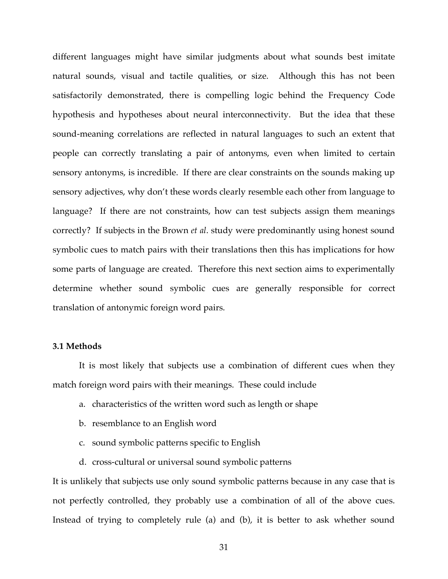different languages might have similar judgments about what sounds best imitate natural sounds, visual and tactile qualities, or size. Although this has not been satisfactorily demonstrated, there is compelling logic behind the Frequency Code hypothesis and hypotheses about neural interconnectivity. But the idea that these sound-meaning correlations are reflected in natural languages to such an extent that people can correctly translating a pair of antonyms, even when limited to certain sensory antonyms, is incredible. If there are clear constraints on the sounds making up sensory adjectives, why don't these words clearly resemble each other from language to language? If there are not constraints, how can test subjects assign them meanings correctly? If subjects in the Brown *et al*. study were predominantly using honest sound symbolic cues to match pairs with their translations then this has implications for how some parts of language are created. Therefore this next section aims to experimentally determine whether sound symbolic cues are generally responsible for correct translation of antonymic foreign word pairs.

### **3.1 Methods**

It is most likely that subjects use a combination of different cues when they match foreign word pairs with their meanings. These could include

- a. characteristics of the written word such as length or shape
- b. resemblance to an English word
- c. sound symbolic patterns specific to English
- d. cross-cultural or universal sound symbolic patterns

It is unlikely that subjects use only sound symbolic patterns because in any case that is not perfectly controlled, they probably use a combination of all of the above cues. Instead of trying to completely rule (a) and (b), it is better to ask whether sound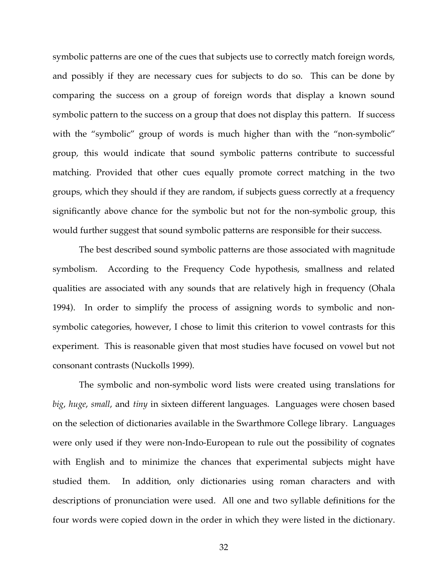symbolic patterns are one of the cues that subjects use to correctly match foreign words, and possibly if they are necessary cues for subjects to do so. This can be done by comparing the success on a group of foreign words that display a known sound symbolic pattern to the success on a group that does not display this pattern. If success with the "symbolic" group of words is much higher than with the "non-symbolic" group, this would indicate that sound symbolic patterns contribute to successful matching. Provided that other cues equally promote correct matching in the two groups, which they should if they are random, if subjects guess correctly at a frequency significantly above chance for the symbolic but not for the non-symbolic group, this would further suggest that sound symbolic patterns are responsible for their success.

The best described sound symbolic patterns are those associated with magnitude symbolism. According to the Frequency Code hypothesis, smallness and related qualities are associated with any sounds that are relatively high in frequency (Ohala 1994). In order to simplify the process of assigning words to symbolic and nonsymbolic categories, however, I chose to limit this criterion to vowel contrasts for this experiment. This is reasonable given that most studies have focused on vowel but not consonant contrasts (Nuckolls 1999).

The symbolic and non-symbolic word lists were created using translations for *big*, *huge*, *small*, and *tiny* in sixteen different languages. Languages were chosen based on the selection of dictionaries available in the Swarthmore College library. Languages were only used if they were non-Indo-European to rule out the possibility of cognates with English and to minimize the chances that experimental subjects might have studied them. In addition, only dictionaries using roman characters and with descriptions of pronunciation were used. All one and two syllable definitions for the four words were copied down in the order in which they were listed in the dictionary.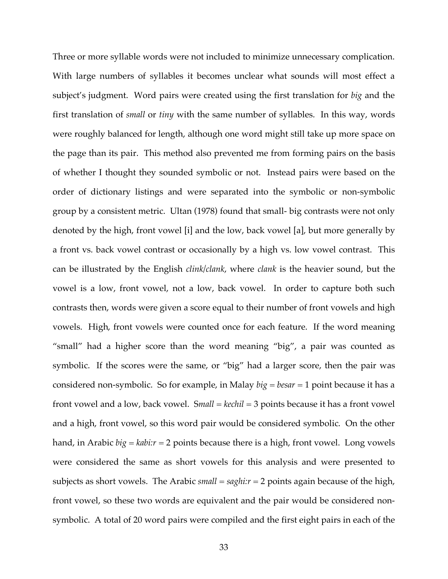Three or more syllable words were not included to minimize unnecessary complication. With large numbers of syllables it becomes unclear what sounds will most effect a subject's judgment. Word pairs were created using the first translation for *big* and the first translation of *small* or *tiny* with the same number of syllables. In this way, words were roughly balanced for length, although one word might still take up more space on the page than its pair. This method also prevented me from forming pairs on the basis of whether I thought they sounded symbolic or not. Instead pairs were based on the order of dictionary listings and were separated into the symbolic or non-symbolic group by a consistent metric. Ultan (1978) found that small- big contrasts were not only denoted by the high, front vowel [i] and the low, back vowel [a], but more generally by a front vs. back vowel contrast or occasionally by a high vs. low vowel contrast. This can be illustrated by the English *clink/clank*, where *clank* is the heavier sound, but the vowel is a low, front vowel, not a low, back vowel. In order to capture both such contrasts then, words were given a score equal to their number of front vowels and high vowels. High, front vowels were counted once for each feature. If the word meaning "small" had a higher score than the word meaning "big", a pair was counted as symbolic. If the scores were the same, or "big" had a larger score, then the pair was considered non-symbolic. So for example, in Malay *big* = *besar* = 1 point because it has a front vowel and a low, back vowel. S*mall* = *kechil* = 3 points because it has a front vowel and a high, front vowel, so this word pair would be considered symbolic. On the other hand, in Arabic *big = kabi:r* = 2 points because there is a high, front vowel. Long vowels were considered the same as short vowels for this analysis and were presented to subjects as short vowels. The Arabic *small* = *saghi:r* = 2 points again because of the high, front vowel, so these two words are equivalent and the pair would be considered nonsymbolic. A total of 20 word pairs were compiled and the first eight pairs in each of the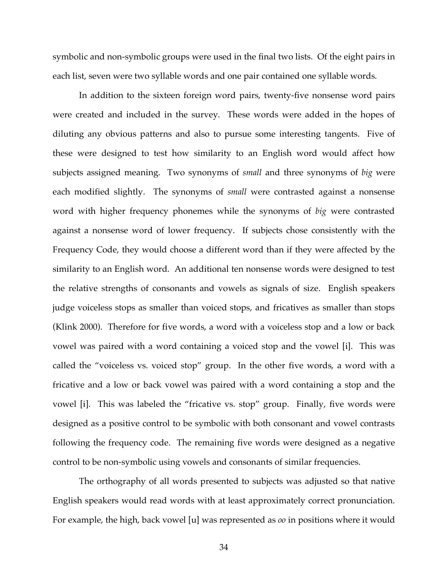symbolic and non-symbolic groups were used in the final two lists. Of the eight pairs in each list, seven were two syllable words and one pair contained one syllable words.

In addition to the sixteen foreign word pairs, twenty-five nonsense word pairs were created and included in the survey. These words were added in the hopes of diluting any obvious patterns and also to pursue some interesting tangents. Five of these were designed to test how similarity to an English word would affect how subjects assigned meaning. Two synonyms of *small* and three synonyms of *big* were each modified slightly. The synonyms of *small* were contrasted against a nonsense word with higher frequency phonemes while the synonyms of *big* were contrasted against a nonsense word of lower frequency. If subjects chose consistently with the Frequency Code, they would choose a different word than if they were affected by the similarity to an English word. An additional ten nonsense words were designed to test the relative strengths of consonants and vowels as signals of size. English speakers judge voiceless stops as smaller than voiced stops, and fricatives as smaller than stops (Klink 2000). Therefore for five words, a word with a voiceless stop and a low or back vowel was paired with a word containing a voiced stop and the vowel [i]. This was called the "voiceless vs. voiced stop" group. In the other five words, a word with a fricative and a low or back vowel was paired with a word containing a stop and the vowel [i]. This was labeled the "fricative vs. stop" group. Finally, five words were designed as a positive control to be symbolic with both consonant and vowel contrasts following the frequency code. The remaining five words were designed as a negative control to be non-symbolic using vowels and consonants of similar frequencies.

The orthography of all words presented to subjects was adjusted so that native English speakers would read words with at least approximately correct pronunciation. For example, the high, back vowel [u] was represented as *oo* in positions where it would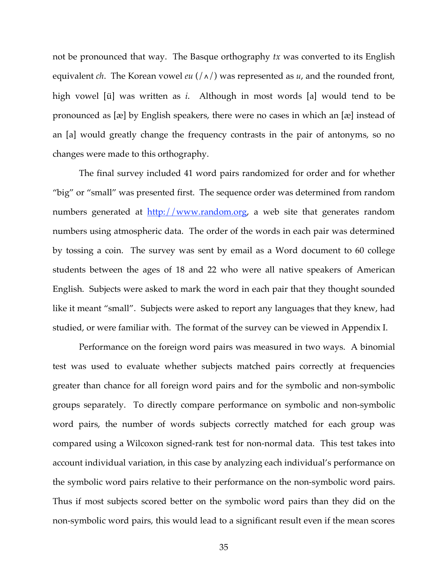not be pronounced that way. The Basque orthography *tx* was converted to its English equivalent *ch*. The Korean vowel *eu* (/∧/) was represented as *u*, and the rounded front, high vowel [ü] was written as *i*. Although in most words [a] would tend to be pronounced as [æ] by English speakers, there were no cases in which an [æ] instead of an [a] would greatly change the frequency contrasts in the pair of antonyms, so no changes were made to this orthography.

The final survey included 41 word pairs randomized for order and for whether "big" or "small" was presented first. The sequence order was determined from random numbers generated at  $\frac{http://www.random.org}{http://www.random.org}$ , a web site that generates random numbers using atmospheric data. The order of the words in each pair was determined by tossing a coin. The survey was sent by email as a Word document to 60 college students between the ages of 18 and 22 who were all native speakers of American English. Subjects were asked to mark the word in each pair that they thought sounded like it meant "small". Subjects were asked to report any languages that they knew, had studied, or were familiar with. The format of the survey can be viewed in Appendix I.

Performance on the foreign word pairs was measured in two ways. A binomial test was used to evaluate whether subjects matched pairs correctly at frequencies greater than chance for all foreign word pairs and for the symbolic and non-symbolic groups separately. To directly compare performance on symbolic and non-symbolic word pairs, the number of words subjects correctly matched for each group was compared using a Wilcoxon signed-rank test for non-normal data. This test takes into account individual variation, in this case by analyzing each individual's performance on the symbolic word pairs relative to their performance on the non-symbolic word pairs. Thus if most subjects scored better on the symbolic word pairs than they did on the non-symbolic word pairs, this would lead to a significant result even if the mean scores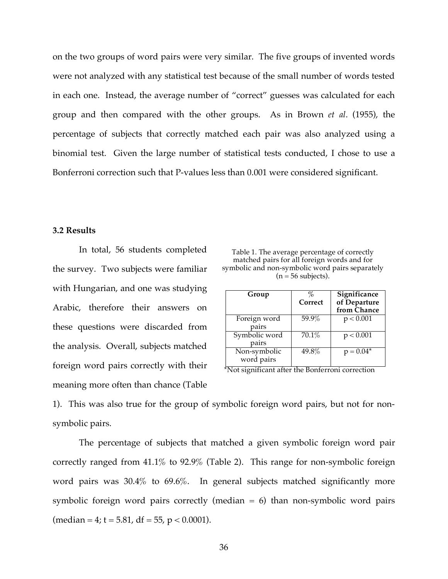on the two groups of word pairs were very similar. The five groups of invented words were not analyzed with any statistical test because of the small number of words tested in each one. Instead, the average number of "correct" guesses was calculated for each group and then compared with the other groups. As in Brown *et al*. (1955), the percentage of subjects that correctly matched each pair was also analyzed using a binomial test. Given the large number of statistical tests conducted, I chose to use a Bonferroni correction such that P-values less than 0.001 were considered significant.

### **3.2 Results**

In total, 56 students completed the survey. Two subjects were familiar with Hungarian, and one was studying Arabic, therefore their answers on these questions were discarded from the analysis. Overall, subjects matched foreign word pairs correctly with their meaning more often than chance (Table

Table 1. The average percentage of correctly matched pairs for all foreign words and for symbolic and non-symbolic word pairs separately  $(n = 56$  subjects).

| Group                      | %<br>Correct | Significance<br>of Departure<br>from Chance |
|----------------------------|--------------|---------------------------------------------|
| Foreign word<br>pairs      | 59.9%        | p < 0.001                                   |
| Symbolic word<br>pairs     | 70.1%        | p < 0.001                                   |
| Non-symbolic<br>word pairs | 49.8%        | $p = 0.04*$                                 |

\*Not significant after the Bonferroni correction

1). This was also true for the group of symbolic foreign word pairs, but not for nonsymbolic pairs.

The percentage of subjects that matched a given symbolic foreign word pair correctly ranged from 41.1% to 92.9% (Table 2). This range for non-symbolic foreign word pairs was 30.4% to 69.6%. In general subjects matched significantly more symbolic foreign word pairs correctly (median  $= 6$ ) than non-symbolic word pairs  $(median = 4; t = 5.81, df = 55, p < 0.0001).$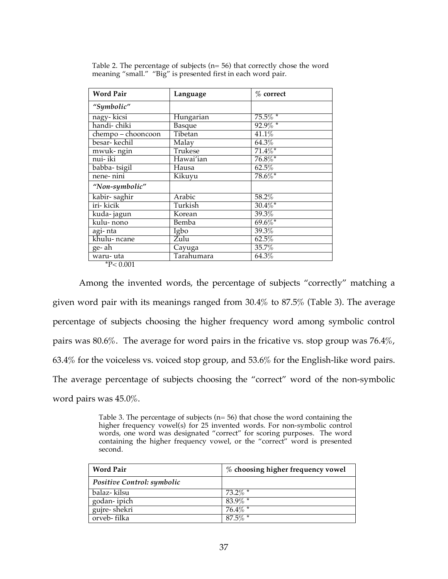| <b>Word Pair</b>   | Language   | $%$ correct |  |  |
|--------------------|------------|-------------|--|--|
| "Symbolic"         |            |             |  |  |
| nagy-kicsi         | Hungarian  | $75.5\%$ *  |  |  |
| handi- chiki       | Basque     | $92.9\%$ *  |  |  |
| $chempo-chooncoon$ | Tibetan    | 41.1%       |  |  |
| besar- kechil      | Malay      | 64.3%       |  |  |
| mwuk-ngin          | Trukese    | $71.4\%$ *  |  |  |
| nui- iki           | Hawai'ian  | $76.8\%$ *  |  |  |
| babba-tsigil       | Hausa      | 62.5%       |  |  |
| nene-nini          | Kikuyu     | 78.6%*      |  |  |
| "Non-symbolic"     |            |             |  |  |
| kabir-saghir       | Arabic     | 58.2%       |  |  |
| iri- kicik         | Turkish    | $30.4\%$ *  |  |  |
| kuda- jagun        | Korean     | 39.3%       |  |  |
| kulu-nono          | Bemba      | $69.6\%$ *  |  |  |
| agi- nta           | Igbo       | 39.3%       |  |  |
| khulu-ncane        | Zulu       | 62.5%       |  |  |
| ge- ah             | Cayuga     | 35.7%       |  |  |
| waru- uta          | Tarahumara | 64.3%       |  |  |
| $*$ D - $\cap$ 001 |            |             |  |  |

Table 2. The percentage of subjects  $(n= 56)$  that correctly chose the word meaning "small." "Big" is presented first in each word pair.

\*P< 0.001

Among the invented words, the percentage of subjects "correctly" matching a given word pair with its meanings ranged from 30.4% to 87.5% (Table 3). The average percentage of subjects choosing the higher frequency word among symbolic control pairs was 80.6%. The average for word pairs in the fricative vs. stop group was 76.4%, 63.4% for the voiceless vs. voiced stop group, and 53.6% for the English-like word pairs. The average percentage of subjects choosing the "correct" word of the non-symbolic word pairs was 45.0%.

Table 3. The percentage of subjects ( $n=56$ ) that chose the word containing the higher frequency vowel(s) for 25 invented words. For non-symbolic control words, one word was designated "correct" for scoring purposes. The word containing the higher frequency vowel, or the "correct" word is presented second.

| <b>Word Pair</b>           | % choosing higher frequency vowel |
|----------------------------|-----------------------------------|
| Positive Control: symbolic |                                   |
| balaz- kilsu               | $73.2\%$ *                        |
| godan-ipich                | $83.9\%$                          |
| gujre-shekri               | $76.4\%$ *                        |
| orveb-filka                | $87.5\%$ *                        |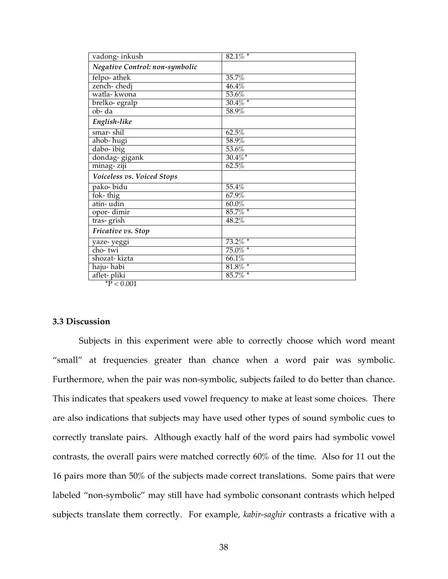| Negative Control: non-symbolic<br>felpo-athek<br>35.7%<br>zench-chedj<br>46.4%<br>watla- kwona<br>53.6%<br>$30.4\%$ *<br>brelko- egralp<br>$ob - da$<br>58.9%<br>English-like<br>62.5%<br>smar- shil<br>ahob-hugi<br>58.9%<br>dabo-ibig<br>53.6%<br>$30.4\%$ *<br>dondag-gigank<br>62.5%<br>minag-ziji<br>Voiceless vs. Voiced Stops<br>pako-bidu<br>55.4%<br>fok-thig<br>67.9%<br>atin-udin<br>60.0%<br>85.7% *<br>opor-dimir<br>tras-grish<br>48.2%<br>Fricative vs. Stop<br>$73.2\%$ *<br>yaze- yeggi<br>$75.0\%$ *<br>cho- twi<br>shozat-kizta<br>66.1%<br>$81.8\%$ *<br>haju-habi<br>$85.7\%$ *<br>aflet-pliki<br>$*$ D. $0.001$ | vadong-inkush | $82.1\%$ * |
|---------------------------------------------------------------------------------------------------------------------------------------------------------------------------------------------------------------------------------------------------------------------------------------------------------------------------------------------------------------------------------------------------------------------------------------------------------------------------------------------------------------------------------------------------------------------------------------------------------------------------------------|---------------|------------|
|                                                                                                                                                                                                                                                                                                                                                                                                                                                                                                                                                                                                                                       |               |            |
|                                                                                                                                                                                                                                                                                                                                                                                                                                                                                                                                                                                                                                       |               |            |
|                                                                                                                                                                                                                                                                                                                                                                                                                                                                                                                                                                                                                                       |               |            |
|                                                                                                                                                                                                                                                                                                                                                                                                                                                                                                                                                                                                                                       |               |            |
|                                                                                                                                                                                                                                                                                                                                                                                                                                                                                                                                                                                                                                       |               |            |
|                                                                                                                                                                                                                                                                                                                                                                                                                                                                                                                                                                                                                                       |               |            |
|                                                                                                                                                                                                                                                                                                                                                                                                                                                                                                                                                                                                                                       |               |            |
|                                                                                                                                                                                                                                                                                                                                                                                                                                                                                                                                                                                                                                       |               |            |
|                                                                                                                                                                                                                                                                                                                                                                                                                                                                                                                                                                                                                                       |               |            |
|                                                                                                                                                                                                                                                                                                                                                                                                                                                                                                                                                                                                                                       |               |            |
|                                                                                                                                                                                                                                                                                                                                                                                                                                                                                                                                                                                                                                       |               |            |
|                                                                                                                                                                                                                                                                                                                                                                                                                                                                                                                                                                                                                                       |               |            |
|                                                                                                                                                                                                                                                                                                                                                                                                                                                                                                                                                                                                                                       |               |            |
|                                                                                                                                                                                                                                                                                                                                                                                                                                                                                                                                                                                                                                       |               |            |
|                                                                                                                                                                                                                                                                                                                                                                                                                                                                                                                                                                                                                                       |               |            |
|                                                                                                                                                                                                                                                                                                                                                                                                                                                                                                                                                                                                                                       |               |            |
|                                                                                                                                                                                                                                                                                                                                                                                                                                                                                                                                                                                                                                       |               |            |
|                                                                                                                                                                                                                                                                                                                                                                                                                                                                                                                                                                                                                                       |               |            |
|                                                                                                                                                                                                                                                                                                                                                                                                                                                                                                                                                                                                                                       |               |            |
|                                                                                                                                                                                                                                                                                                                                                                                                                                                                                                                                                                                                                                       |               |            |
|                                                                                                                                                                                                                                                                                                                                                                                                                                                                                                                                                                                                                                       |               |            |
|                                                                                                                                                                                                                                                                                                                                                                                                                                                                                                                                                                                                                                       |               |            |
|                                                                                                                                                                                                                                                                                                                                                                                                                                                                                                                                                                                                                                       |               |            |
|                                                                                                                                                                                                                                                                                                                                                                                                                                                                                                                                                                                                                                       |               |            |

 $\rm \dot{P} < 0.001$ 

# **3.3 Discussion**

Subjects in this experiment were able to correctly choose which word meant "small" at frequencies greater than chance when a word pair was symbolic. Furthermore, when the pair was non-symbolic, subjects failed to do better than chance. This indicates that speakers used vowel frequency to make at least some choices. There are also indications that subjects may have used other types of sound symbolic cues to correctly translate pairs. Although exactly half of the word pairs had symbolic vowel contrasts, the overall pairs were matched correctly 60% of the time. Also for 11 out the 16 pairs more than 50% of the subjects made correct translations. Some pairs that were labeled "non-symbolic" may still have had symbolic consonant contrasts which helped subjects translate them correctly. For example, *kabir-saghir* contrasts a fricative with a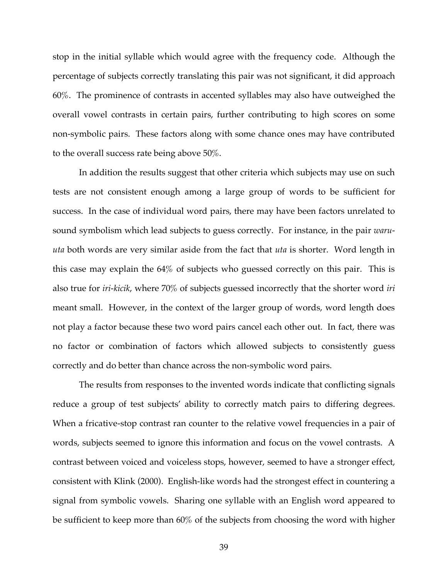stop in the initial syllable which would agree with the frequency code. Although the percentage of subjects correctly translating this pair was not significant, it did approach 60%. The prominence of contrasts in accented syllables may also have outweighed the overall vowel contrasts in certain pairs, further contributing to high scores on some non-symbolic pairs. These factors along with some chance ones may have contributed to the overall success rate being above 50%.

In addition the results suggest that other criteria which subjects may use on such tests are not consistent enough among a large group of words to be sufficient for success. In the case of individual word pairs, there may have been factors unrelated to sound symbolism which lead subjects to guess correctly. For instance, in the pair *waruuta* both words are very similar aside from the fact that *uta* is shorter. Word length in this case may explain the 64% of subjects who guessed correctly on this pair. This is also true for *iri-kicik*, where 70% of subjects guessed incorrectly that the shorter word *iri* meant small. However, in the context of the larger group of words, word length does not play a factor because these two word pairs cancel each other out. In fact, there was no factor or combination of factors which allowed subjects to consistently guess correctly and do better than chance across the non-symbolic word pairs.

The results from responses to the invented words indicate that conflicting signals reduce a group of test subjects' ability to correctly match pairs to differing degrees. When a fricative-stop contrast ran counter to the relative vowel frequencies in a pair of words, subjects seemed to ignore this information and focus on the vowel contrasts. A contrast between voiced and voiceless stops, however, seemed to have a stronger effect, consistent with Klink (2000). English-like words had the strongest effect in countering a signal from symbolic vowels. Sharing one syllable with an English word appeared to be sufficient to keep more than 60% of the subjects from choosing the word with higher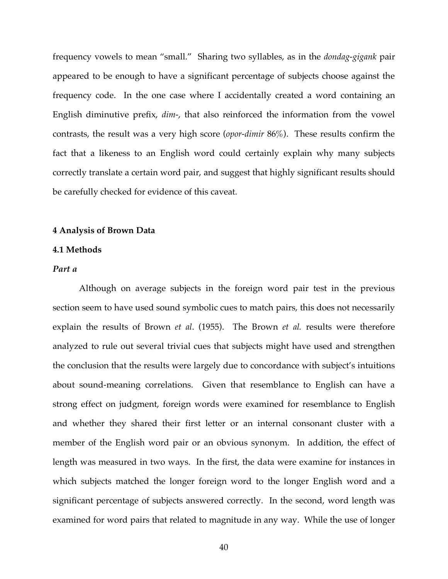frequency vowels to mean "small." Sharing two syllables, as in the *dondag-gigank* pair appeared to be enough to have a significant percentage of subjects choose against the frequency code. In the one case where I accidentally created a word containing an English diminutive prefix, *dim-*, that also reinforced the information from the vowel contrasts, the result was a very high score (*opor-dimir* 86%). These results confirm the fact that a likeness to an English word could certainly explain why many subjects correctly translate a certain word pair, and suggest that highly significant results should be carefully checked for evidence of this caveat.

#### **4 Analysis of Brown Data**

### **4.1 Methods**

### *Part a*

Although on average subjects in the foreign word pair test in the previous section seem to have used sound symbolic cues to match pairs, this does not necessarily explain the results of Brown *et al*. (1955). The Brown *et al.* results were therefore analyzed to rule out several trivial cues that subjects might have used and strengthen the conclusion that the results were largely due to concordance with subject's intuitions about sound-meaning correlations. Given that resemblance to English can have a strong effect on judgment, foreign words were examined for resemblance to English and whether they shared their first letter or an internal consonant cluster with a member of the English word pair or an obvious synonym. In addition, the effect of length was measured in two ways. In the first, the data were examine for instances in which subjects matched the longer foreign word to the longer English word and a significant percentage of subjects answered correctly. In the second, word length was examined for word pairs that related to magnitude in any way. While the use of longer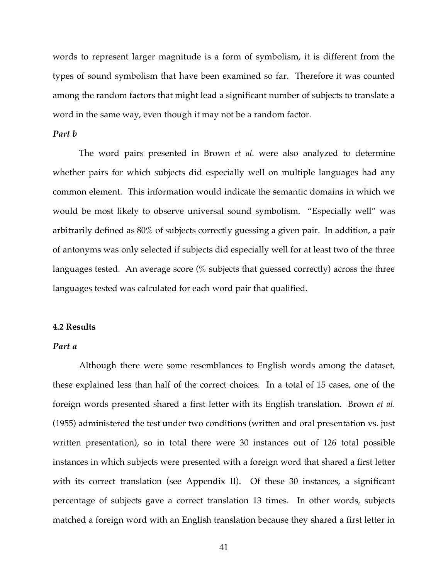words to represent larger magnitude is a form of symbolism, it is different from the types of sound symbolism that have been examined so far. Therefore it was counted among the random factors that might lead a significant number of subjects to translate a word in the same way, even though it may not be a random factor.

# *Part b*

The word pairs presented in Brown *et al*. were also analyzed to determine whether pairs for which subjects did especially well on multiple languages had any common element. This information would indicate the semantic domains in which we would be most likely to observe universal sound symbolism. "Especially well" was arbitrarily defined as 80% of subjects correctly guessing a given pair. In addition, a pair of antonyms was only selected if subjects did especially well for at least two of the three languages tested. An average score  $\%$  subjects that guessed correctly) across the three languages tested was calculated for each word pair that qualified.

# **4.2 Results**

# *Part a*

Although there were some resemblances to English words among the dataset, these explained less than half of the correct choices. In a total of 15 cases, one of the foreign words presented shared a first letter with its English translation. Brown *et al.* (1955) administered the test under two conditions (written and oral presentation vs. just written presentation), so in total there were 30 instances out of 126 total possible instances in which subjects were presented with a foreign word that shared a first letter with its correct translation (see Appendix II). Of these 30 instances, a significant percentage of subjects gave a correct translation 13 times. In other words, subjects matched a foreign word with an English translation because they shared a first letter in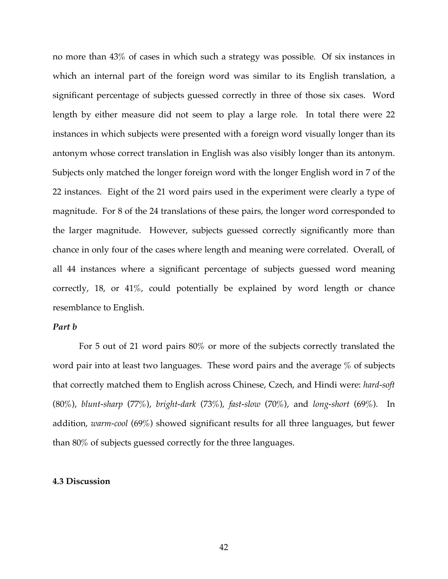no more than 43% of cases in which such a strategy was possible. Of six instances in which an internal part of the foreign word was similar to its English translation, a significant percentage of subjects guessed correctly in three of those six cases. Word length by either measure did not seem to play a large role. In total there were 22 instances in which subjects were presented with a foreign word visually longer than its antonym whose correct translation in English was also visibly longer than its antonym. Subjects only matched the longer foreign word with the longer English word in 7 of the 22 instances. Eight of the 21 word pairs used in the experiment were clearly a type of magnitude. For 8 of the 24 translations of these pairs, the longer word corresponded to the larger magnitude. However, subjects guessed correctly significantly more than chance in only four of the cases where length and meaning were correlated. Overall, of all 44 instances where a significant percentage of subjects guessed word meaning correctly, 18, or 41%, could potentially be explained by word length or chance resemblance to English.

### *Part b*

For 5 out of 21 word pairs 80% or more of the subjects correctly translated the word pair into at least two languages. These word pairs and the average % of subjects that correctly matched them to English across Chinese, Czech, and Hindi were: *hard-soft* (80%), *blunt-sharp* (77%), *bright-dark* (73%), *fast-slow* (70%), and *long-short* (69%). In addition, *warm-cool* (69%) showed significant results for all three languages, but fewer than 80% of subjects guessed correctly for the three languages.

#### **4.3 Discussion**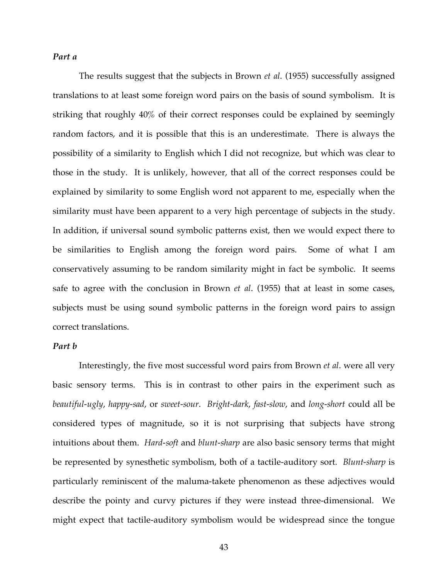# *Part a*

The results suggest that the subjects in Brown *et al*. (1955) successfully assigned translations to at least some foreign word pairs on the basis of sound symbolism. It is striking that roughly 40% of their correct responses could be explained by seemingly random factors, and it is possible that this is an underestimate. There is always the possibility of a similarity to English which I did not recognize, but which was clear to those in the study. It is unlikely, however, that all of the correct responses could be explained by similarity to some English word not apparent to me, especially when the similarity must have been apparent to a very high percentage of subjects in the study. In addition, if universal sound symbolic patterns exist, then we would expect there to be similarities to English among the foreign word pairs. Some of what I am conservatively assuming to be random similarity might in fact be symbolic. It seems safe to agree with the conclusion in Brown *et al*. (1955) that at least in some cases, subjects must be using sound symbolic patterns in the foreign word pairs to assign correct translations.

### *Part b*

Interestingly, the five most successful word pairs from Brown *et al*. were all very basic sensory terms. This is in contrast to other pairs in the experiment such as *beautiful-ugly*, *happy-sad*, or *sweet-sour*. *Bright-dark*, *fast-slow*, and *long-short* could all be considered types of magnitude, so it is not surprising that subjects have strong intuitions about them. *Hard-soft* and *blunt-sharp* are also basic sensory terms that might be represented by synesthetic symbolism, both of a tactile-auditory sort. *Blunt-sharp* is particularly reminiscent of the maluma-takete phenomenon as these adjectives would describe the pointy and curvy pictures if they were instead three-dimensional. We might expect that tactile-auditory symbolism would be widespread since the tongue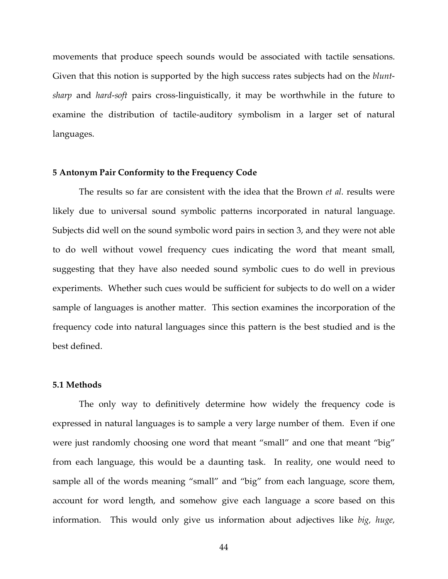movements that produce speech sounds would be associated with tactile sensations. Given that this notion is supported by the high success rates subjects had on the *bluntsharp* and *hard-soft* pairs cross-linguistically, it may be worthwhile in the future to examine the distribution of tactile-auditory symbolism in a larger set of natural languages.

### **5 Antonym Pair Conformity to the Frequency Code**

The results so far are consistent with the idea that the Brown *et al.* results were likely due to universal sound symbolic patterns incorporated in natural language. Subjects did well on the sound symbolic word pairs in section 3, and they were not able to do well without vowel frequency cues indicating the word that meant small, suggesting that they have also needed sound symbolic cues to do well in previous experiments. Whether such cues would be sufficient for subjects to do well on a wider sample of languages is another matter. This section examines the incorporation of the frequency code into natural languages since this pattern is the best studied and is the best defined.

#### **5.1 Methods**

The only way to definitively determine how widely the frequency code is expressed in natural languages is to sample a very large number of them. Even if one were just randomly choosing one word that meant "small" and one that meant "big" from each language, this would be a daunting task. In reality, one would need to sample all of the words meaning "small" and "big" from each language, score them, account for word length, and somehow give each language a score based on this information. This would only give us information about adjectives like *big, huge,*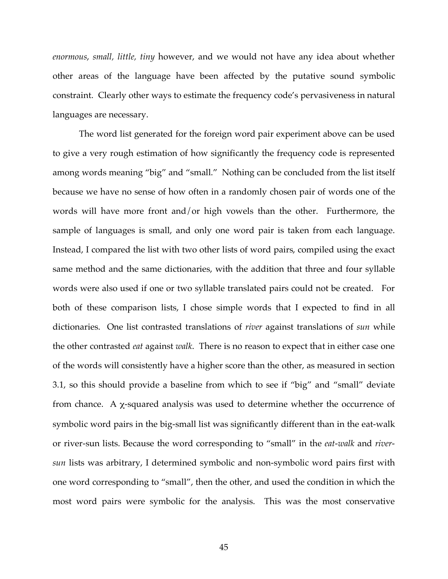*enormous*, *small, little, tiny* however, and we would not have any idea about whether other areas of the language have been affected by the putative sound symbolic constraint. Clearly other ways to estimate the frequency code's pervasiveness in natural languages are necessary.

The word list generated for the foreign word pair experiment above can be used to give a very rough estimation of how significantly the frequency code is represented among words meaning "big" and "small." Nothing can be concluded from the list itself because we have no sense of how often in a randomly chosen pair of words one of the words will have more front and/or high vowels than the other. Furthermore, the sample of languages is small, and only one word pair is taken from each language. Instead, I compared the list with two other lists of word pairs, compiled using the exact same method and the same dictionaries, with the addition that three and four syllable words were also used if one or two syllable translated pairs could not be created. For both of these comparison lists, I chose simple words that I expected to find in all dictionaries. One list contrasted translations of *river* against translations of *sun* while the other contrasted *eat* against *walk*. There is no reason to expect that in either case one of the words will consistently have a higher score than the other, as measured in section 3.1, so this should provide a baseline from which to see if "big" and "small" deviate from chance. A  $\chi$ -squared analysis was used to determine whether the occurrence of symbolic word pairs in the big-small list was significantly different than in the eat-walk or river-sun lists. Because the word corresponding to "small" in the *eat-walk* and *riversun* lists was arbitrary, I determined symbolic and non-symbolic word pairs first with one word corresponding to "small", then the other, and used the condition in which the most word pairs were symbolic for the analysis. This was the most conservative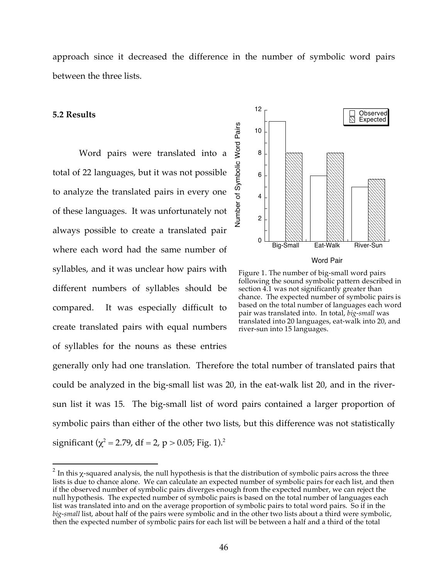approach since it decreased the difference in the number of symbolic word pairs between the three lists.

### **5.2 Results**

Word pairs were translated into a total of 22 languages, but it was not possible to analyze the translated pairs in every one of these languages. It was unfortunately not always possible to create a translated pair where each word had the same number of syllables, and it was unclear how pairs with different numbers of syllables should be compared. It was especially difficult to create translated pairs with equal numbers of syllables for the nouns as these entries



Figure 1. The number of big-small word pairs following the sound symbolic pattern described in section 4.1 was not significantly greater than chance. The expected number of symbolic pairs is based on the total number of languages each word pair was translated into. In total, *big-small* was translated into 20 languages, eat-walk into 20, and river-sun into 15 languages.

generally only had one translation. Therefore the total number of translated pairs that could be analyzed in the big-small list was 20, in the eat-walk list 20, and in the riversun list it was 15. The big-small list of word pairs contained a larger proportion of symbolic pairs than either of the other two lists, but this difference was not statistically significant ( $\chi^2$  = 2.79, df = 2, p > 0.05; Fig. 1).<sup>2</sup>

 $2$  In this  $χ$ -squared analysis, the null hypothesis is that the distribution of symbolic pairs across the three lists is due to chance alone. We can calculate an expected number of symbolic pairs for each list, and then if the observed number of symbolic pairs diverges enough from the expected number, we can reject the null hypothesis. The expected number of symbolic pairs is based on the total number of languages each list was translated into and on the average proportion of symbolic pairs to total word pairs. So if in the *big-small* list, about half of the pairs were symbolic and in the other two lists about a third were symbolic, then the expected number of symbolic pairs for each list will be between a half and a third of the total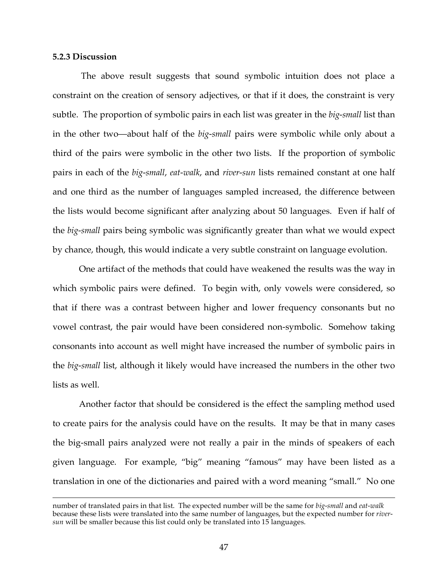### **5.2.3 Discussion**

The above result suggests that sound symbolic intuition does not place a constraint on the creation of sensory adjectives, or that if it does, the constraint is very subtle. The proportion of symbolic pairs in each list was greater in the *big-small* list than in the other two—about half of the *big-small* pairs were symbolic while only about a third of the pairs were symbolic in the other two lists. If the proportion of symbolic pairs in each of the *big-small*, *eat-walk*, and *river-sun* lists remained constant at one half and one third as the number of languages sampled increased, the difference between the lists would become significant after analyzing about 50 languages. Even if half of the *big-small* pairs being symbolic was significantly greater than what we would expect by chance, though, this would indicate a very subtle constraint on language evolution.

One artifact of the methods that could have weakened the results was the way in which symbolic pairs were defined. To begin with, only vowels were considered, so that if there was a contrast between higher and lower frequency consonants but no vowel contrast, the pair would have been considered non-symbolic. Somehow taking consonants into account as well might have increased the number of symbolic pairs in the *big-small* list, although it likely would have increased the numbers in the other two lists as well.

Another factor that should be considered is the effect the sampling method used to create pairs for the analysis could have on the results. It may be that in many cases the big-small pairs analyzed were not really a pair in the minds of speakers of each given language. For example, "big" meaning "famous" may have been listed as a translation in one of the dictionaries and paired with a word meaning "small." No one

number of translated pairs in that list. The expected number will be the same for *big-small* and *eat-walk* because these lists were translated into the same number of languages, but the expected number for *riversun* will be smaller because this list could only be translated into 15 languages.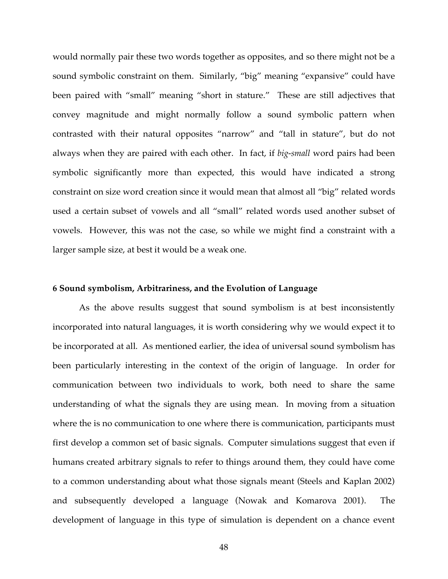would normally pair these two words together as opposites, and so there might not be a sound symbolic constraint on them. Similarly, "big" meaning "expansive" could have been paired with "small" meaning "short in stature." These are still adjectives that convey magnitude and might normally follow a sound symbolic pattern when contrasted with their natural opposites "narrow" and "tall in stature", but do not always when they are paired with each other. In fact, if *big-small* word pairs had been symbolic significantly more than expected, this would have indicated a strong constraint on size word creation since it would mean that almost all "big" related words used a certain subset of vowels and all "small" related words used another subset of vowels. However, this was not the case, so while we might find a constraint with a larger sample size, at best it would be a weak one.

### **6 Sound symbolism, Arbitrariness, and the Evolution of Language**

As the above results suggest that sound symbolism is at best inconsistently incorporated into natural languages, it is worth considering why we would expect it to be incorporated at all. As mentioned earlier, the idea of universal sound symbolism has been particularly interesting in the context of the origin of language. In order for communication between two individuals to work, both need to share the same understanding of what the signals they are using mean. In moving from a situation where the is no communication to one where there is communication, participants must first develop a common set of basic signals. Computer simulations suggest that even if humans created arbitrary signals to refer to things around them, they could have come to a common understanding about what those signals meant (Steels and Kaplan 2002) and subsequently developed a language (Nowak and Komarova 2001). The development of language in this type of simulation is dependent on a chance event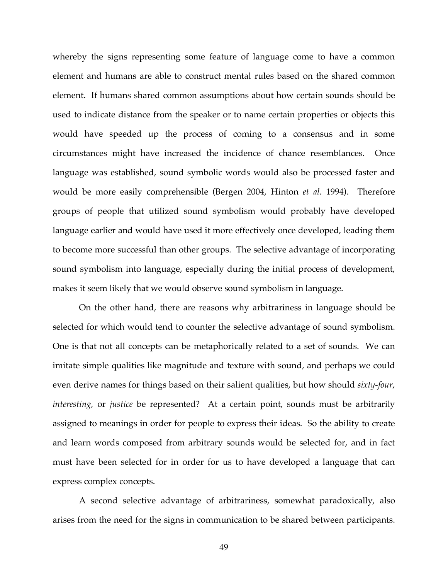whereby the signs representing some feature of language come to have a common element and humans are able to construct mental rules based on the shared common element. If humans shared common assumptions about how certain sounds should be used to indicate distance from the speaker or to name certain properties or objects this would have speeded up the process of coming to a consensus and in some circumstances might have increased the incidence of chance resemblances. Once language was established, sound symbolic words would also be processed faster and would be more easily comprehensible (Bergen 2004, Hinton *et al*. 1994). Therefore groups of people that utilized sound symbolism would probably have developed language earlier and would have used it more effectively once developed, leading them to become more successful than other groups. The selective advantage of incorporating sound symbolism into language, especially during the initial process of development, makes it seem likely that we would observe sound symbolism in language.

On the other hand, there are reasons why arbitrariness in language should be selected for which would tend to counter the selective advantage of sound symbolism. One is that not all concepts can be metaphorically related to a set of sounds. We can imitate simple qualities like magnitude and texture with sound, and perhaps we could even derive names for things based on their salient qualities, but how should *sixty-four*, *interesting,* or *justice* be represented? At a certain point, sounds must be arbitrarily assigned to meanings in order for people to express their ideas. So the ability to create and learn words composed from arbitrary sounds would be selected for, and in fact must have been selected for in order for us to have developed a language that can express complex concepts.

A second selective advantage of arbitrariness, somewhat paradoxically, also arises from the need for the signs in communication to be shared between participants.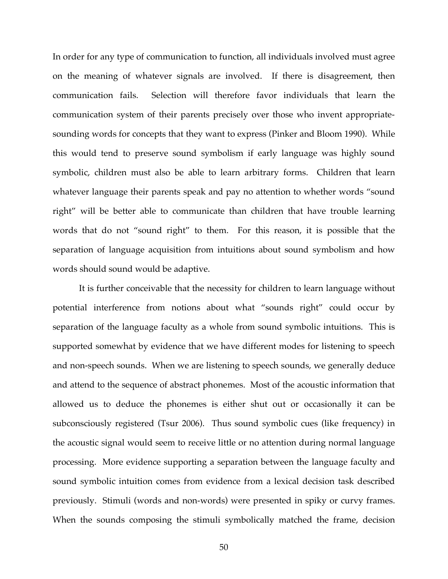In order for any type of communication to function, all individuals involved must agree on the meaning of whatever signals are involved. If there is disagreement, then communication fails. Selection will therefore favor individuals that learn the communication system of their parents precisely over those who invent appropriatesounding words for concepts that they want to express (Pinker and Bloom 1990). While this would tend to preserve sound symbolism if early language was highly sound symbolic, children must also be able to learn arbitrary forms. Children that learn whatever language their parents speak and pay no attention to whether words "sound right" will be better able to communicate than children that have trouble learning words that do not "sound right" to them. For this reason, it is possible that the separation of language acquisition from intuitions about sound symbolism and how words should sound would be adaptive.

It is further conceivable that the necessity for children to learn language without potential interference from notions about what "sounds right" could occur by separation of the language faculty as a whole from sound symbolic intuitions. This is supported somewhat by evidence that we have different modes for listening to speech and non-speech sounds. When we are listening to speech sounds, we generally deduce and attend to the sequence of abstract phonemes. Most of the acoustic information that allowed us to deduce the phonemes is either shut out or occasionally it can be subconsciously registered (Tsur 2006). Thus sound symbolic cues (like frequency) in the acoustic signal would seem to receive little or no attention during normal language processing. More evidence supporting a separation between the language faculty and sound symbolic intuition comes from evidence from a lexical decision task described previously. Stimuli (words and non-words) were presented in spiky or curvy frames. When the sounds composing the stimuli symbolically matched the frame, decision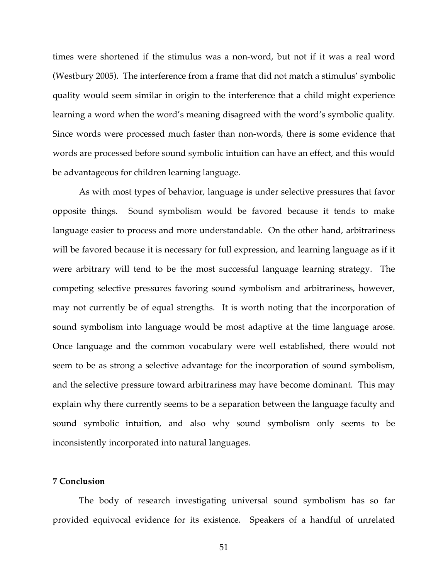times were shortened if the stimulus was a non-word, but not if it was a real word (Westbury 2005). The interference from a frame that did not match a stimulus' symbolic quality would seem similar in origin to the interference that a child might experience learning a word when the word's meaning disagreed with the word's symbolic quality. Since words were processed much faster than non-words, there is some evidence that words are processed before sound symbolic intuition can have an effect, and this would be advantageous for children learning language.

As with most types of behavior, language is under selective pressures that favor opposite things. Sound symbolism would be favored because it tends to make language easier to process and more understandable. On the other hand, arbitrariness will be favored because it is necessary for full expression, and learning language as if it were arbitrary will tend to be the most successful language learning strategy. The competing selective pressures favoring sound symbolism and arbitrariness, however, may not currently be of equal strengths. It is worth noting that the incorporation of sound symbolism into language would be most adaptive at the time language arose. Once language and the common vocabulary were well established, there would not seem to be as strong a selective advantage for the incorporation of sound symbolism, and the selective pressure toward arbitrariness may have become dominant. This may explain why there currently seems to be a separation between the language faculty and sound symbolic intuition, and also why sound symbolism only seems to be inconsistently incorporated into natural languages.

## **7 Conclusion**

The body of research investigating universal sound symbolism has so far provided equivocal evidence for its existence. Speakers of a handful of unrelated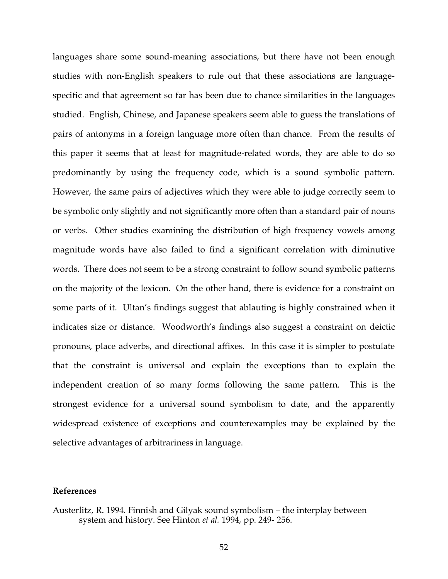languages share some sound-meaning associations, but there have not been enough studies with non-English speakers to rule out that these associations are languagespecific and that agreement so far has been due to chance similarities in the languages studied. English, Chinese, and Japanese speakers seem able to guess the translations of pairs of antonyms in a foreign language more often than chance. From the results of this paper it seems that at least for magnitude-related words, they are able to do so predominantly by using the frequency code, which is a sound symbolic pattern. However, the same pairs of adjectives which they were able to judge correctly seem to be symbolic only slightly and not significantly more often than a standard pair of nouns or verbs. Other studies examining the distribution of high frequency vowels among magnitude words have also failed to find a significant correlation with diminutive words. There does not seem to be a strong constraint to follow sound symbolic patterns on the majority of the lexicon. On the other hand, there is evidence for a constraint on some parts of it. Ultan's findings suggest that ablauting is highly constrained when it indicates size or distance. Woodworth's findings also suggest a constraint on deictic pronouns, place adverbs, and directional affixes. In this case it is simpler to postulate that the constraint is universal and explain the exceptions than to explain the independent creation of so many forms following the same pattern. This is the strongest evidence for a universal sound symbolism to date, and the apparently widespread existence of exceptions and counterexamples may be explained by the selective advantages of arbitrariness in language.

# **References**

Austerlitz, R. 1994. Finnish and Gilyak sound symbolism – the interplay between system and history. See Hinton *et al.* 1994, pp. 249- 256.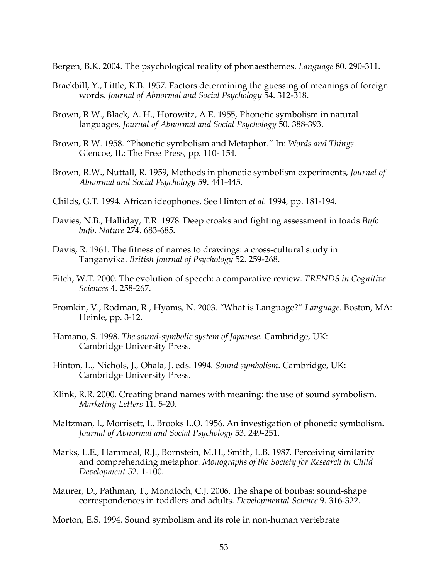Bergen, B.K. 2004. The psychological reality of phonaesthemes. *Language* 80. 290-311.

- Brackbill, Y., Little, K.B. 1957. Factors determining the guessing of meanings of foreign words. *Journal of Abnormal and Social Psychology* 54. 312-318.
- Brown, R.W., Black, A. H., Horowitz, A.E. 1955, Phonetic symbolism in natural languages, *Journal of Abnormal and Social Psychology* 50. 388-393.
- Brown, R.W. 1958. "Phonetic symbolism and Metaphor." In: *Words and Things*. Glencoe, IL: The Free Press, pp. 110- 154.
- Brown, R.W., Nuttall, R. 1959, Methods in phonetic symbolism experiments, *Journal of Abnormal and Social Psychology* 59. 441-445.
- Childs, G.T. 1994. African ideophones. See Hinton *et al.* 1994, pp. 181-194.
- Davies, N.B., Halliday, T.R. 1978. Deep croaks and fighting assessment in toads *Bufo bufo*. *Nature* 274. 683-685.
- Davis, R. 1961. The fitness of names to drawings: a cross-cultural study in Tanganyika. *British Journal of Psychology* 52. 259-268.
- Fitch, W.T. 2000. The evolution of speech: a comparative review. *TRENDS in Cognitive Sciences* 4. 258-267.
- Fromkin, V., Rodman, R., Hyams, N. 2003. "What is Language?" *Language*. Boston, MA: Heinle, pp. 3-12.
- Hamano, S. 1998. *The sound-symbolic system of Japanese*. Cambridge, UK: Cambridge University Press.
- Hinton, L., Nichols, J., Ohala, J. eds. 1994. *Sound symbolism*. Cambridge, UK: Cambridge University Press.
- Klink, R.R. 2000. Creating brand names with meaning: the use of sound symbolism. *Marketing Letters* 11. 5-20.
- Maltzman, I., Morrisett, L. Brooks L.O. 1956. An investigation of phonetic symbolism. *Journal of Abnormal and Social Psychology* 53. 249-251.
- Marks, L.E., Hammeal, R.J., Bornstein, M.H., Smith, L.B. 1987. Perceiving similarity and comprehending metaphor. *Monographs of the Society for Research in Child Development* 52. 1-100.
- Maurer, D., Pathman, T., Mondloch, C.J. 2006. The shape of boubas: sound-shape correspondences in toddlers and adults. *Developmental Science* 9. 316-322.
- Morton, E.S. 1994. Sound symbolism and its role in non-human vertebrate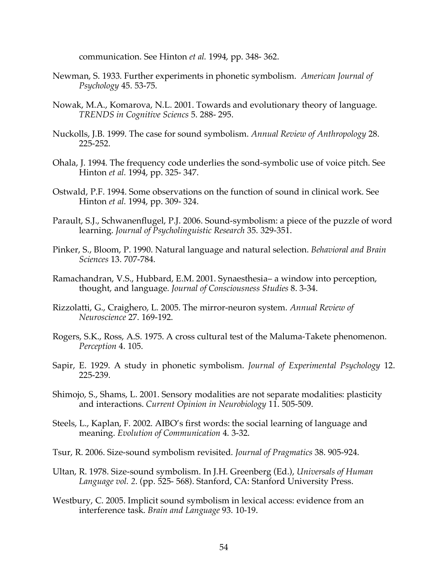communication. See Hinton *et al.* 1994, pp. 348- 362.

- Newman, S. 1933. Further experiments in phonetic symbolism. *American Journal of Psychology* 45. 53-75.
- Nowak, M.A., Komarova, N.L. 2001. Towards and evolutionary theory of language. *TRENDS in Cognitive Sciencs* 5. 288- 295.
- Nuckolls, J.B. 1999. The case for sound symbolism. *Annual Review of Anthropology* 28. 225-252.
- Ohala, J. 1994. The frequency code underlies the sond-symbolic use of voice pitch. See Hinton *et al.* 1994, pp. 325- 347.
- Ostwald, P.F. 1994. Some observations on the function of sound in clinical work. See Hinton *et al.* 1994, pp. 309- 324.
- Parault, S.J., Schwanenflugel, P.J. 2006. Sound-symbolism: a piece of the puzzle of word learning. *Journal of Psycholinguistic Research* 35. 329-351.
- Pinker, S., Bloom, P. 1990. Natural language and natural selection. *Behavioral and Brain Sciences* 13. 707-784.
- Ramachandran, V.S., Hubbard, E.M. 2001. Synaesthesia– a window into perception, thought, and language. *Journal of Consciousness Studies* 8. 3-34.
- Rizzolatti, G., Craighero, L. 2005. The mirror-neuron system. *Annual Review of Neuroscience* 27. 169-192.
- Rogers, S.K., Ross, A.S. 1975. A cross cultural test of the Maluma-Takete phenomenon. *Perception* 4. 105.
- Sapir, E. 1929. A study in phonetic symbolism. *Journal of Experimental Psychology* 12. 225-239.
- Shimojo, S., Shams, L. 2001. Sensory modalities are not separate modalities: plasticity and interactions. *Current Opinion in Neurobiology* 11. 505-509.
- Steels, L., Kaplan, F. 2002. AIBO's first words: the social learning of language and meaning. *Evolution of Communication* 4. 3-32.
- Tsur, R. 2006. Size-sound symbolism revisited. *Journal of Pragmatics* 38. 905-924.
- Ultan, R. 1978. Size-sound symbolism. In J.H. Greenberg (Ed.), *Universals of Human Language vol. 2*. (pp. 525- 568). Stanford, CA: Stanford University Press.
- Westbury, C. 2005. Implicit sound symbolism in lexical access: evidence from an interference task. *Brain and Language* 93. 10-19.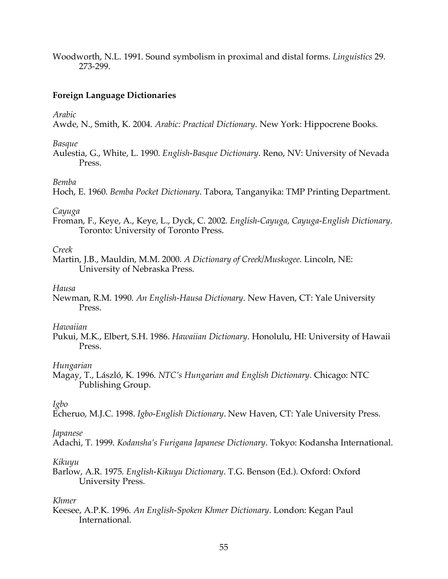Woodworth, N.L. 1991. Sound symbolism in proximal and distal forms. *Linguistics* 29. 273-299.

# **Foreign Language Dictionaries**

*Arabic*

Awde, N., Smith, K. 2004. *Arabic: Practical Dictionary*. New York: Hippocrene Books.

*Basque*

Aulestia, G., White, L. 1990. *English-Basque Dictionary*. Reno, NV: University of Nevada Press.

# *Bemba*

Hoch, E. 1960. *Bemba Pocket Dictionary*. Tabora, Tanganyika: TMP Printing Department.

# *Cayuga*

Froman, F., Keye, A., Keye, L., Dyck, C. 2002. *English-Cayuga, Cayuga-English Dictionary*. Toronto: University of Toronto Press.

# *Creek*

Martin, J.B., Mauldin, M.M. 2000. *A Dictionary of Creek/Muskogee*. Lincoln, NE: University of Nebraska Press.

# *Hausa*

Newman, R.M. 1990. *An English-Hausa Dictionary*. New Haven, CT: Yale University Press.

# *Hawaiian*

Pukui, M.K., Elbert, S.H. 1986. *Hawaiian Dictionary*. Honolulu, HI: University of Hawaii Press.

# *Hungarian*

Magay, T., László, K. 1996. *NTC's Hungarian and English Dictionary*. Chicago: NTC Publishing Group.

*Igbo*

Echeruo, M.J.C. 1998. *Igbo-English Dictionary*. New Haven, CT: Yale University Press.

# *Japanese*

Adachi, T. 1999. *Kodansha's Furigana Japanese Dictionary*. Tokyo: Kodansha International.

# *Kikuyu*

Barlow, A.R. 1975. *English-Kikuyu Dictionary*. T.G. Benson (Ed.). Oxford: Oxford University Press.

# *Khmer*

Keesee, A.P.K. 1996. *An English-Spoken Khmer Dictionary*. London: Kegan Paul International*.*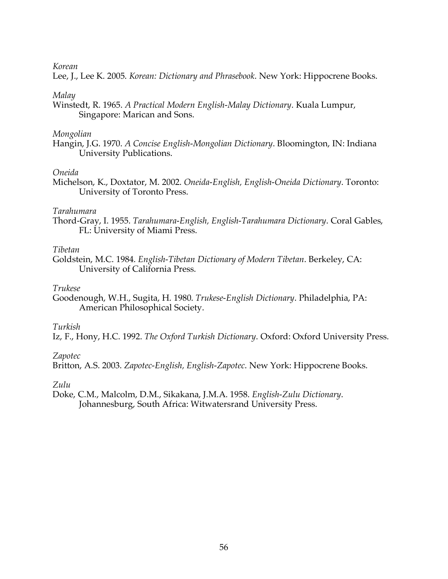# *Korean*

Lee, J., Lee K. 2005. *Korean: Dictionary and Phrasebook*. New York: Hippocrene Books.

# *Malay*

Winstedt, R. 1965. *A Practical Modern English-Malay Dictionary*. Kuala Lumpur, Singapore: Marican and Sons.

# *Mongolian*

Hangin, J.G. 1970. *A Concise English-Mongolian Dictionary*. Bloomington, IN: Indiana University Publications.

# *Oneida*

Michelson, K., Doxtator, M. 2002. *Oneida-English, English-Oneida Dictionary*. Toronto: University of Toronto Press.

# *Tarahumara*

Thord-Gray, I. 1955. *Tarahumara-English, English-Tarahumara Dictionary*. Coral Gables, FL: University of Miami Press.

# *Tibetan*

Goldstein, M.C. 1984. *English-Tibetan Dictionary of Modern Tibetan*. Berkeley, CA: University of California Press.

# *Trukese*

Goodenough, W.H., Sugita, H. 1980. *Trukese-English Dictionary*. Philadelphia, PA: American Philosophical Society.

# *Turkish*

Iz, F., Hony, H.C. 1992. *The Oxford Turkish Dictionary*. Oxford: Oxford University Press.

# *Zapotec*

Britton, A.S. 2003. *Zapotec-English, English-Zapotec*. New York: Hippocrene Books.

# *Zulu*

Doke, C.M., Malcolm, D.M., Sikakana, J.M.A. 1958. *English-Zulu Dictionary*. Johannesburg, South Africa: Witwatersrand University Press.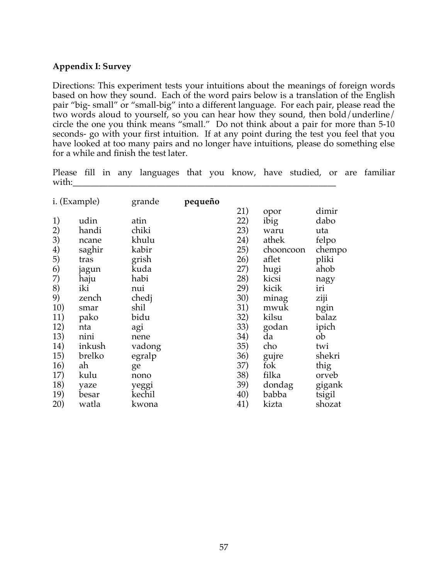# **Appendix I: Survey**

Directions: This experiment tests your intuitions about the meanings of foreign words based on how they sound. Each of the word pairs below is a translation of the English pair "big- small" or "small-big" into a different language. For each pair, please read the two words aloud to yourself, so you can hear how they sound, then bold/underline/ circle the one you think means "small." Do not think about a pair for more than 5-10 seconds- go with your first intuition. If at any point during the test you feel that you have looked at too many pairs and no longer have intuitions, please do something else for a while and finish the test later.

Please fill in any languages that you know, have studied, or are familiar with:

| i. (Example) |        | grande | pequeño | 21) | opor      | dimir  |
|--------------|--------|--------|---------|-----|-----------|--------|
| 1)           | udin   | atin   |         | 22) | ibig      | dabo   |
| 2)           | handi  | chiki  |         | 23) | waru      | uta    |
| 3)           | ncane  | khulu  |         | 24) | athek     | felpo  |
| 4)           | saghir | kabir  |         | 25) | chooncoon | chempo |
| 5)           | tras   | grish  |         | 26) | aflet     | pliki  |
| 6)           | jagun  | kuda   |         | 27) | hugi      | ahob   |
| 7)           | haju   | habi   |         | 28) | kicsi     | nagy   |
| 8)           | iki    | nui    |         | 29) | kicik     | iri    |
| 9)           | zench  | chedj  |         | 30) | minag     | ziji   |
| 10)          | smar   | shil   |         | 31) | mwuk      | ngin   |
| 11)          | pako   | bidu   |         | 32) | kilsu     | balaz  |
| 12)          | nta    | agi    |         | 33) | godan     | ipich  |
| 13)          | nini   | nene   |         | 34) | da        | ob     |
| 14)          | inkush | vadong |         | 35) | cho       | twi    |
| 15)          | brelko | egralp |         | 36) | gujre     | shekri |
| 16)          | ah     | ge     |         | 37) | fok       | thig   |
| 17)          | kulu   | nono   |         | 38) | filka     | orveb  |
| 18)          | yaze   | yeggi  |         | 39) | dondag    | gigank |
| 19)          | besar  | kechil |         | 40) | babba     | tsigil |
| 20)          | watla  | kwona  |         | 41) | kizta     | shozat |